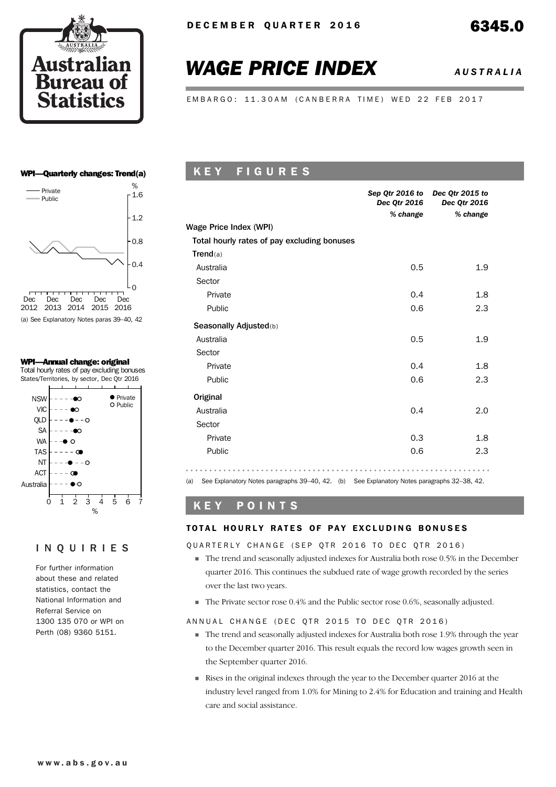

# *WAGE PRICE INDEX AUSTRALIA*

EMBARGO: 11.30AM (CANBERRA TIME) WED 22 FEB 2017

### WPI—Quarterly changes: Trend(a)



(a) See Explanatory Notes paras 39–40, 42

### WPI—Annual change: original

Total hourly rates of pay excluding bonuses States/Territories, by sector, Dec Qtr 2016



## INQUIRIES

For further information about these and related statistics, contact the National Information and Referral Service on 1300 135 070 or WPI on Perth (08) 9360 5151.

# K E Y F I G U R E S

|                                             | <b>Dec Qtr 2016</b><br>% change | Sep Qtr 2016 to Dec Qtr 2015 to<br>Dec Qtr 2016<br>% change |
|---------------------------------------------|---------------------------------|-------------------------------------------------------------|
| Wage Price Index (WPI)                      |                                 |                                                             |
| Total hourly rates of pay excluding bonuses |                                 |                                                             |
| Trend(a)                                    |                                 |                                                             |
| Australia                                   | 0.5                             | 1.9                                                         |
| Sector                                      |                                 |                                                             |
| Private                                     | 0.4                             | 1.8                                                         |
| Public                                      | 0.6                             | 2.3                                                         |
| Seasonally Adjusted(b)                      |                                 |                                                             |
| Australia                                   | 0.5                             | 1.9                                                         |
| Sector                                      |                                 |                                                             |
| Private                                     | 0.4                             | 1.8                                                         |
| Public                                      | 0.6                             | 2.3                                                         |
| Original                                    |                                 |                                                             |
| Australia                                   | 0.4                             | 2.0                                                         |
| Sector                                      |                                 |                                                             |
| Private                                     | 0.3                             | 1.8                                                         |
| Public                                      | 0.6                             | 2.3                                                         |
|                                             |                                 |                                                             |

(a) See Explanatory Notes paragraphs 39–40, 42. (b) See Explanatory Notes paragraphs 32–38, 42.

# K E Y P O I N T S

### TOTAL HOURLY RATES OF PAY EXCLUDING BONUSES

### QUARTERLY CHANGE (SEP QTR 2016 TO DEC QTR 2016)

- The trend and seasonally adjusted indexes for Australia both rose 0.5% in the December quarter 2016. This continues the subdued rate of wage growth recorded by the series over the last two years.
- The Private sector rose 0.4% and the Public sector rose 0.6%, seasonally adjusted.

### ANNUAL CHANGE (DEC OTR 2015 TO DEC OTR 2016)

- The trend and seasonally adjusted indexes for Australia both rose 1.9% through the year to the December quarter 2016. This result equals the record low wages growth seen in the September quarter 2016.
- Rises in the original indexes through the year to the December quarter 2016 at the industry level ranged from 1.0% for Mining to 2.4% for Education and training and Health care and social assistance.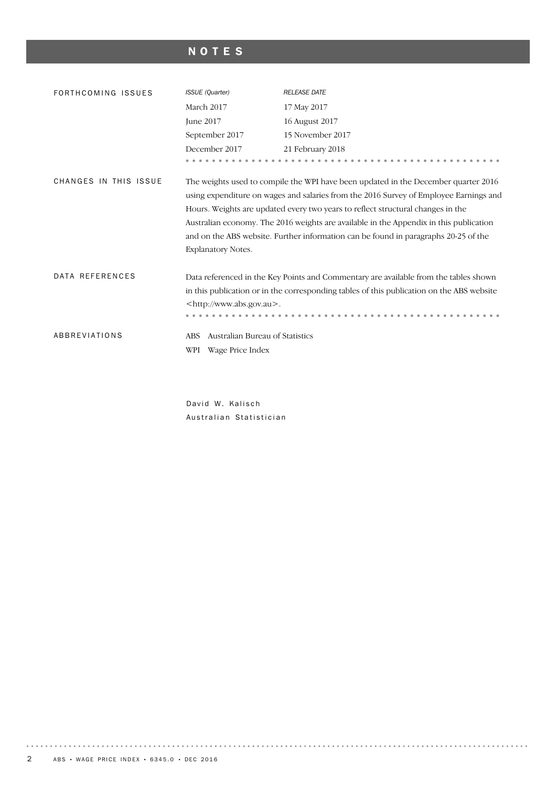# NOTES

| FORTHCOMING ISSUES    | <b>ISSUE</b> (Quarter)                 | <b>RELEASE DATE</b>                                                                                                                                                                                                                                                                                                                                                                                                                             |  |  |  |  |  |  |
|-----------------------|----------------------------------------|-------------------------------------------------------------------------------------------------------------------------------------------------------------------------------------------------------------------------------------------------------------------------------------------------------------------------------------------------------------------------------------------------------------------------------------------------|--|--|--|--|--|--|
|                       | March 2017                             | 17 May 2017                                                                                                                                                                                                                                                                                                                                                                                                                                     |  |  |  |  |  |  |
|                       | <b>Iune 2017</b>                       | 16 August 2017                                                                                                                                                                                                                                                                                                                                                                                                                                  |  |  |  |  |  |  |
|                       | September 2017                         | 15 November 2017                                                                                                                                                                                                                                                                                                                                                                                                                                |  |  |  |  |  |  |
|                       | December 2017                          | 21 February 2018                                                                                                                                                                                                                                                                                                                                                                                                                                |  |  |  |  |  |  |
|                       |                                        |                                                                                                                                                                                                                                                                                                                                                                                                                                                 |  |  |  |  |  |  |
| CHANGES IN THIS ISSUE | Explanatory Notes.                     | The weights used to compile the WPI have been updated in the December quarter 2016<br>using expenditure on wages and salaries from the 2016 Survey of Employee Earnings and<br>Hours. Weights are updated every two years to reflect structural changes in the<br>Australian economy. The 2016 weights are available in the Appendix in this publication<br>and on the ABS website. Further information can be found in paragraphs 20-25 of the |  |  |  |  |  |  |
| DATA REFERENCES       |                                        | Data referenced in the Key Points and Commentary are available from the tables shown<br>in this publication or in the corresponding tables of this publication on the ABS website                                                                                                                                                                                                                                                               |  |  |  |  |  |  |
|                       | <http: www.abs.gov.au="">.</http:>     |                                                                                                                                                                                                                                                                                                                                                                                                                                                 |  |  |  |  |  |  |
|                       |                                        |                                                                                                                                                                                                                                                                                                                                                                                                                                                 |  |  |  |  |  |  |
| ABBREVIATIONS         | Australian Bureau of Statistics<br>ABS |                                                                                                                                                                                                                                                                                                                                                                                                                                                 |  |  |  |  |  |  |
|                       | Wage Price Index<br>WPI                |                                                                                                                                                                                                                                                                                                                                                                                                                                                 |  |  |  |  |  |  |

David W. Kalisch Australian Statistician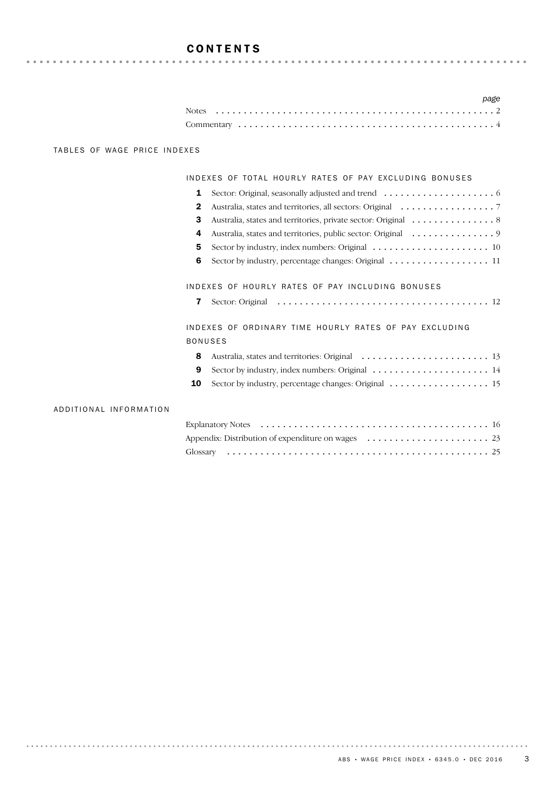# **CONTENTS**

|  |  |  |  |  |  |  |  |  |  |  |  |  |  |  |  |  |  |  | page |
|--|--|--|--|--|--|--|--|--|--|--|--|--|--|--|--|--|--|--|------|
|  |  |  |  |  |  |  |  |  |  |  |  |  |  |  |  |  |  |  |      |
|  |  |  |  |  |  |  |  |  |  |  |  |  |  |  |  |  |  |  |      |

### TABLES OF WAGE PRICE INDEXES

### INDEXES OF TOTAL HOURLY RATES OF PAY EXCLUDING BONUSES

| 2 |                                                                                              |
|---|----------------------------------------------------------------------------------------------|
| з |                                                                                              |
| 4 | Australia, states and territories, public sector: Original 9                                 |
| 5 |                                                                                              |
| 6 | Sector by industry, percentage changes: Original $\ldots \ldots \ldots \ldots \ldots \ldots$ |
|   |                                                                                              |
|   | INDEXES OF HOURLY RATES OF PAY INCLUDING BONUSES                                             |

|  | <b>7</b> Sector: Original |  |  |
|--|---------------------------|--|--|
|--|---------------------------|--|--|

INDEXES OF ORDINARY TIME HOURLY RATES OF PAY EXCLUDING BONUSES

| 9 Sector by industry, index numbers: Original $\ldots \ldots \ldots \ldots \ldots \ldots \ldots$ |  |  |  |  |  |  |  |  |  |
|--------------------------------------------------------------------------------------------------|--|--|--|--|--|--|--|--|--|

10 Sector by industry, percentage changes: Original ............................ 15

### ADDITIONAL INFORMATION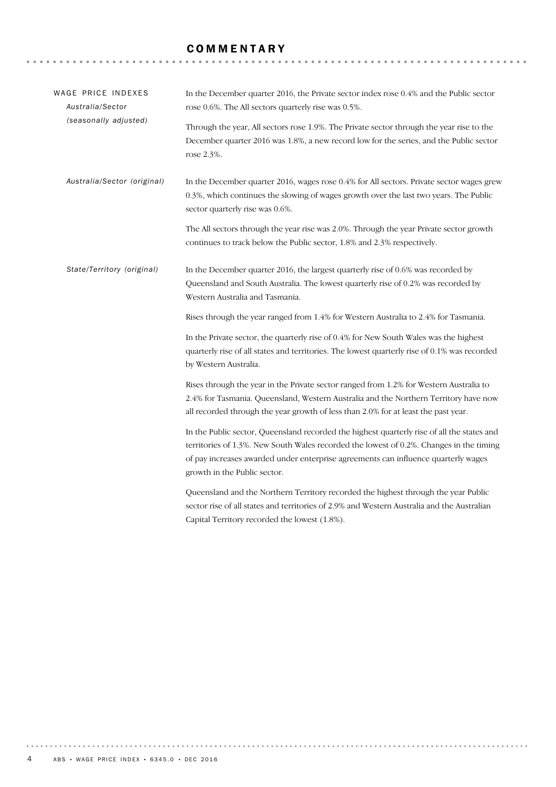# **COMMENTARY**

| WAGE PRICE INDEXES<br>Australia/Sector<br>(seasonally adjusted) | In the December quarter 2016, the Private sector index rose 0.4% and the Public sector<br>rose 0.6%. The All sectors quarterly rise was 0.5%.<br>Through the year, All sectors rose 1.9%. The Private sector through the year rise to the                                                                   |  |  |  |  |  |  |  |  |
|-----------------------------------------------------------------|-------------------------------------------------------------------------------------------------------------------------------------------------------------------------------------------------------------------------------------------------------------------------------------------------------------|--|--|--|--|--|--|--|--|
|                                                                 | December quarter 2016 was 1.8%, a new record low for the series, and the Public sector<br>rose 2.3%.                                                                                                                                                                                                        |  |  |  |  |  |  |  |  |
| Australia/Sector (original)                                     | In the December quarter 2016, wages rose 0.4% for All sectors. Private sector wages grew<br>0.3%, which continues the slowing of wages growth over the last two years. The Public<br>sector quarterly rise was 0.6%.                                                                                        |  |  |  |  |  |  |  |  |
|                                                                 | The All sectors through the year rise was 2.0%. Through the year Private sector growth<br>continues to track below the Public sector, 1.8% and 2.3% respectively.                                                                                                                                           |  |  |  |  |  |  |  |  |
| State/Territory (original)                                      | In the December quarter 2016, the largest quarterly rise of 0.6% was recorded by<br>Queensland and South Australia. The lowest quarterly rise of 0.2% was recorded by<br>Western Australia and Tasmania.                                                                                                    |  |  |  |  |  |  |  |  |
|                                                                 | Rises through the year ranged from 1.4% for Western Australia to 2.4% for Tasmania.                                                                                                                                                                                                                         |  |  |  |  |  |  |  |  |
|                                                                 | In the Private sector, the quarterly rise of 0.4% for New South Wales was the highest<br>quarterly rise of all states and territories. The lowest quarterly rise of 0.1% was recorded<br>by Western Australia.                                                                                              |  |  |  |  |  |  |  |  |
|                                                                 | Rises through the year in the Private sector ranged from 1.2% for Western Australia to<br>2.4% for Tasmania. Queensland, Western Australia and the Northern Territory have now<br>all recorded through the year growth of less than 2.0% for at least the past year.                                        |  |  |  |  |  |  |  |  |
|                                                                 | In the Public sector, Queensland recorded the highest quarterly rise of all the states and<br>territories of 1.3%. New South Wales recorded the lowest of 0.2%. Changes in the timing<br>of pay increases awarded under enterprise agreements can influence quarterly wages<br>growth in the Public sector. |  |  |  |  |  |  |  |  |
|                                                                 | Queensland and the Northern Territory recorded the highest through the year Public<br>sector rise of all states and territories of 2.9% and Western Australia and the Australian<br>Capital Territory recorded the lowest (1.8%).                                                                           |  |  |  |  |  |  |  |  |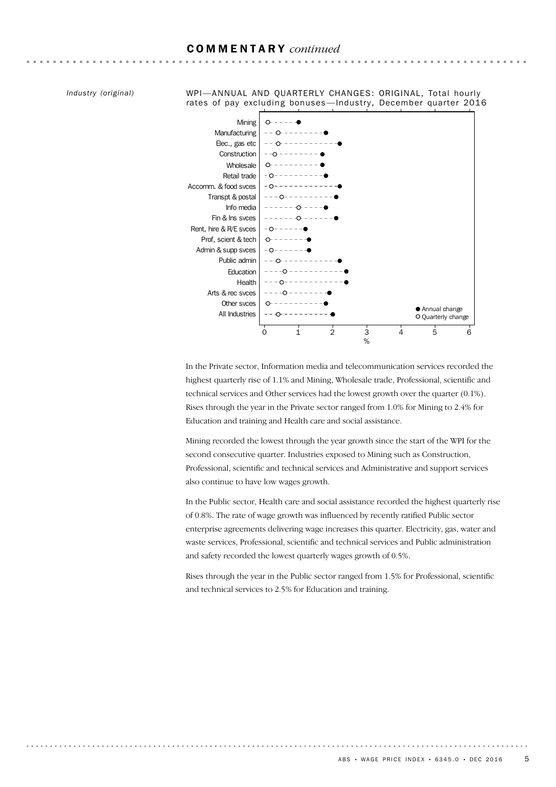### COMMENTARY *continued*

*Industry (original)*

WPI—ANNUAL AND QUARTERLY CHANGES: ORIGINAL, Total hourly rates of pay excluding bonuses-Industry, December quarter 2016



In the Private sector, Information media and telecommunication services recorded the highest quarterly rise of 1.1% and Mining, Wholesale trade, Professional, scientific and technical services and Other services had the lowest growth over the quarter (0.1%). Rises through the year in the Private sector ranged from 1.0% for Mining to 2.4% for Education and training and Health care and social assistance.

Mining recorded the lowest through the year growth since the start of the WPI for the second consecutive quarter. Industries exposed to Mining such as Construction, Professional, scientific and technical services and Administrative and support services also continue to have low wages growth.

In the Public sector, Health care and social assistance recorded the highest quarterly rise of 0.8%. The rate of wage growth was influenced by recently ratified Public sector enterprise agreements delivering wage increases this quarter. Electricity, gas, water and waste services, Professional, scientific and technical services and Public administration and safety recorded the lowest quarterly wages growth of 0.5%.

Rises through the year in the Public sector ranged from 1.5% for Professional, scientific and technical services to 2.5% for Education and training.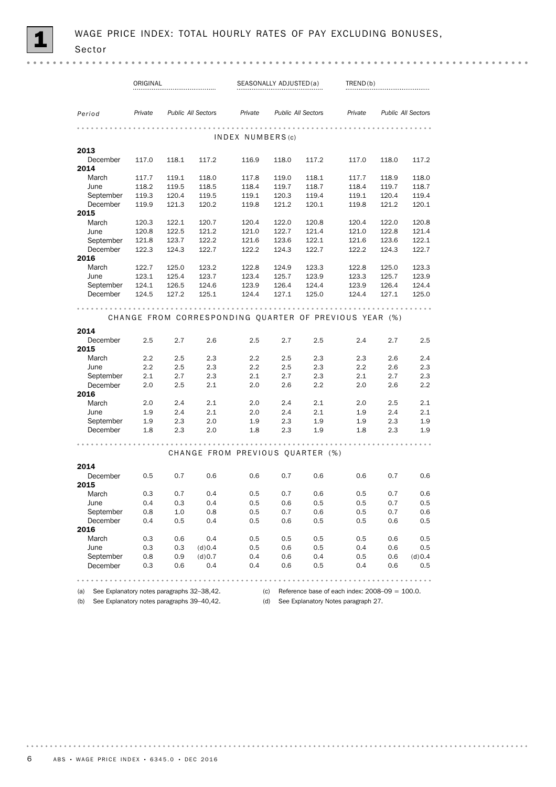|                                                | ORIGINAL       |                |                           |                                                        | SEASONALLY ADJUSTED(a) |                           | TRED(b)                                           |                |                           |
|------------------------------------------------|----------------|----------------|---------------------------|--------------------------------------------------------|------------------------|---------------------------|---------------------------------------------------|----------------|---------------------------|
| Period                                         | Private        |                | <b>Public All Sectors</b> | Private                                                |                        | <b>Public All Sectors</b> | Private                                           |                | <b>Public All Sectors</b> |
|                                                |                |                |                           | INDEX NUMBERS(c)                                       |                        |                           |                                                   |                |                           |
| 2013                                           |                |                |                           |                                                        |                        |                           |                                                   |                |                           |
| December                                       | 117.0          | 118.1          | 117.2                     | 116.9                                                  | 118.0                  | 117.2                     | 117.0                                             | 118.0          | 117.2                     |
| 2014                                           |                |                |                           |                                                        |                        |                           |                                                   |                |                           |
| March                                          | 117.7          | 119.1          | 118.0                     | 117.8                                                  | 119.0                  | 118.1                     | 117.7                                             | 118.9          | 118.0                     |
| June                                           | 118.2          | 119.5          | 118.5                     | 118.4                                                  | 119.7                  | 118.7                     | 118.4                                             | 119.7          | 118.7                     |
| September                                      | 119.3          | 120.4          | 119.5                     | 119.1                                                  | 120.3                  | 119.4                     | 119.1                                             | 120.4          | 119.4                     |
| December                                       | 119.9          | 121.3          | 120.2                     | 119.8                                                  | 121.2                  | 120.1                     | 119.8                                             | 121.2          | 120.1                     |
| 2015                                           |                |                |                           |                                                        |                        |                           |                                                   |                |                           |
| March                                          | 120.3          | 122.1          | 120.7                     | 120.4                                                  | 122.0                  | 120.8                     | 120.4                                             | 122.0          | 120.8                     |
| June                                           | 120.8<br>121.8 | 122.5<br>123.7 | 121.2<br>122.2            | 121.0<br>121.6                                         | 122.7<br>123.6         | 121.4<br>122.1            | 121.0<br>121.6                                    | 122.8<br>123.6 | 121.4<br>122.1            |
| September<br>December                          | 122.3          | 124.3          | 122.7                     | 122.2                                                  | 124.3                  | 122.7                     | 122.2                                             | 124.3          | 122.7                     |
| 2016                                           |                |                |                           |                                                        |                        |                           |                                                   |                |                           |
| March                                          | 122.7          | 125.0          | 123.2                     | 122.8                                                  | 124.9                  | 123.3                     | 122.8                                             | 125.0          | 123.3                     |
| June                                           | 123.1          | 125.4          | 123.7                     | 123.4                                                  | 125.7                  | 123.9                     | 123.3                                             | 125.7          | 123.9                     |
| September                                      | 124.1          | 126.5          | 124.6                     | 123.9                                                  | 126.4                  | 124.4                     | 123.9                                             | 126.4          | 124.4                     |
| December                                       | 124.5          | 127.2          | 125.1                     | 124.4                                                  | 127.1                  | 125.0                     | 124.4                                             | 127.1          | 125.0                     |
| 2014                                           |                |                |                           | CHANGE FROM CORRESPONDING QUARTER OF PREVIOUS YEAR (%) |                        |                           |                                                   |                |                           |
| December                                       | 2.5            | 2.7            | 2.6                       | 2.5                                                    | 2.7                    | 2.5                       | 2.4                                               | 2.7            | 2.5                       |
| 2015<br>March                                  | 2.2            | 2.5            | 2.3                       | 2.2                                                    | 2.5                    | 2.3                       | 2.3                                               | 2.6            | 2.4                       |
| June                                           | 2.2            | 2.5            | 2.3                       | 2.2                                                    | 2.5                    | 2.3                       | 2.2                                               | 2.6            | 2.3                       |
| September                                      | 2.1            | 2.7            | 2.3                       | 2.1                                                    | 2.7                    | 2.3                       | 2.1                                               | 2.7            | 2.3                       |
| December                                       | 2.0            | 2.5            | 2.1                       | 2.0                                                    | 2.6                    | $2.2\,$                   | 2.0                                               | 2.6            | 2.2                       |
| 2016                                           |                |                |                           |                                                        |                        |                           |                                                   |                |                           |
| March                                          | 2.0            | 2.4            | 2.1                       | 2.0                                                    | 2.4                    | 2.1                       | 2.0                                               | 2.5            | 2.1                       |
| June                                           | 1.9            | 2.4            | 2.1                       | 2.0                                                    | 2.4                    | 2.1                       | 1.9                                               | 2.4            | 2.1                       |
| September                                      | 1.9            | 2.3            | 2.0                       | 1.9                                                    | 2.3                    | 1.9                       | 1.9                                               | 2.3            | 1.9                       |
| December                                       | 1.8            | 2.3            | 2.0                       | 1.8                                                    | 2.3                    | 1.9                       | 1.8                                               | 2.3            | 1.9                       |
|                                                |                |                |                           | CHANGE FROM PREVIOUS QUARTER (%)                       |                        |                           |                                                   |                |                           |
|                                                |                |                |                           |                                                        |                        |                           |                                                   |                |                           |
| 2014                                           |                |                |                           |                                                        |                        |                           |                                                   |                |                           |
| December<br>2015                               | 0.5            | 0.7            | 0.6                       | 0.6                                                    | 0.7                    | 0.6                       | 0.6                                               | 0.7            | 0.6                       |
| March                                          | 0.3            | 0.7            | 0.4                       | 0.5                                                    | 0.7                    | 0.6                       | 0.5                                               | 0.7            | 0.6                       |
| June                                           | 0.4            | 0.3            | 0.4                       | 0.5                                                    | 0.6                    | 0.5                       | 0.5                                               | 0.7            | 0.5                       |
| September                                      | 0.8            | 1.0            | 0.8                       | 0.5                                                    | 0.7                    | 0.6                       | 0.5                                               | 0.7            | 0.6                       |
| December                                       | 0.4            | 0.5            | 0.4                       | 0.5                                                    | 0.6                    | 0.5                       | 0.5                                               | 0.6            | 0.5                       |
| 2016                                           |                |                |                           |                                                        |                        |                           |                                                   |                |                           |
| March                                          | 0.3            | 0.6            | 0.4                       | 0.5                                                    | 0.5                    | 0.5                       | 0.5                                               | 0.6            | 0.5                       |
| June<br>September                              | 0.3<br>0.8     | 0.3            | (d) 0.4<br>(d) 0.7        | 0.5<br>0.4                                             | 0.6                    | 0.5                       | 0.4                                               | 0.6            | 0.5                       |
| December                                       | 0.3            | 0.9<br>0.6     | 0.4                       | 0.4                                                    | 0.6<br>0.6             | 0.4<br>0.5                | 0.5<br>0.4                                        | 0.6<br>0.6     | (d)0.4<br>0.5             |
| (a) See Explanatory notes paragraphs 32-38,42. |                |                |                           | (c)                                                    |                        |                           | Reference base of each index: $2008-09 = 100.0$ . |                |                           |

(b) See Explanatory notes paragraphs 39–40,42. (d) See Explanatory Notes paragraph 27.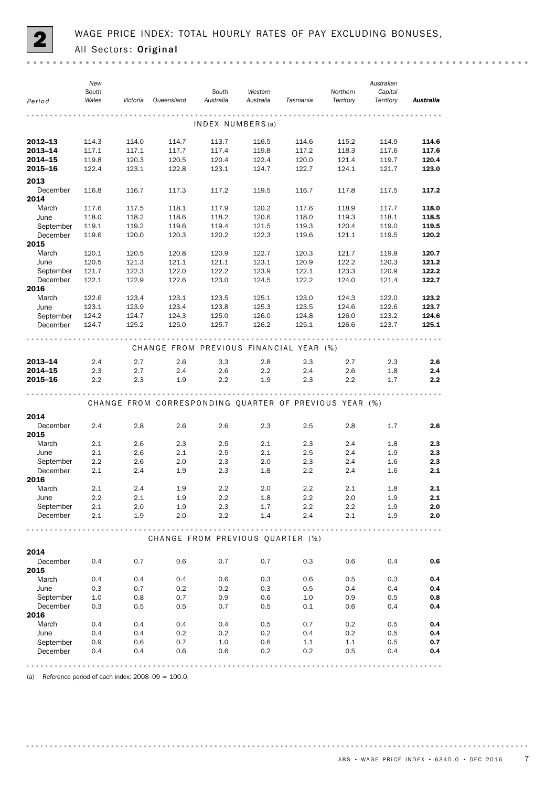

| Period           | New<br>South<br>Wales | Victoria | Queensland                                             | South<br>Australia | Western<br>Australia | Tasmania | Northern<br>Territory | Australian<br>Capital<br>Territory | Australia |
|------------------|-----------------------|----------|--------------------------------------------------------|--------------------|----------------------|----------|-----------------------|------------------------------------|-----------|
|                  |                       |          |                                                        |                    |                      | .        |                       |                                    |           |
|                  |                       |          |                                                        | INDEX NUMBERS(a)   |                      |          |                       |                                    |           |
| 2012-13          | 114.3                 | 114.0    | 114.7                                                  | 113.7              | 116.5                | 114.6    | 115.2                 | 114.9                              | 114.6     |
| 2013-14          | 117.1                 | 117.1    | 117.7                                                  | 117.4              | 119.8                | 117.2    | 118.3                 | 117.6                              | 117.6     |
| 2014-15          | 119.8                 | 120.3    | 120.5                                                  | 120.4              | 122.4                | 120.0    | 121.4                 | 119.7                              | 120.4     |
| 2015-16          | 122.4                 | 123.1    | 122.8                                                  | 123.1              | 124.7                | 122.7    | 124.1                 | 121.7                              | 123.0     |
| 2013             |                       |          |                                                        |                    |                      |          |                       |                                    |           |
| December         | 116.8                 | 116.7    | 117.3                                                  | 117.2              | 119.5                | 116.7    | 117.8                 | 117.5                              | 117.2     |
| 2014             |                       |          |                                                        |                    |                      |          |                       |                                    |           |
| March            | 117.6                 | 117.5    | 118.1                                                  | 117.9              | 120.2                | 117.6    | 118.9                 | 117.7                              | 118.0     |
| June             | 118.0                 | 118.2    | 118.6                                                  | 118.2              | 120.6                | 118.0    | 119.3                 | 118.1                              | 118.5     |
| September        | 119.1                 | 119.2    | 119.6                                                  | 119.4              | 121.5                | 119.3    | 120.4                 | 119.0                              | 119.5     |
| December<br>2015 | 119.6                 | 120.0    | 120.3                                                  | 120.2              | 122.3                | 119.6    | 121.1                 | 119.5                              | 120.2     |
| March            | 120.1                 | 120.5    | 120.8                                                  | 120.9              | 122.7                | 120.3    | 121.7                 | 119.8                              | 120.7     |
| June             | 120.5                 | 121.3    | 121.1                                                  | 121.1              | 123.1                | 120.9    | 122.2                 | 120.3                              | 121.2     |
| September        | 121.7                 | 122.3    | 122.0                                                  | 122.2              | 123.9                | 122.1    | 123.3                 | 120.9                              | 122.2     |
| December         | 122.1                 | 122.9    | 122.6                                                  | 123.0              | 124.5                | 122.2    | 124.0                 | 121.4                              | 122.7     |
| 2016             |                       |          |                                                        |                    |                      |          |                       |                                    |           |
| March            | 122.6                 | 123.4    | 123.1                                                  | 123.5              | 125.1                | 123.0    | 124.3                 | 122.0                              | 123.2     |
| June             | 123.1                 | 123.9    | 123.4                                                  | 123.8              | 125.3                | 123.5    | 124.6                 | 122.6                              | 123.7     |
| September        | 124.2                 | 124.7    | 124.3                                                  | 125.0              | 126.0                | 124.8    | 126.0                 | 123.2                              | 124.6     |
| December         | 124.7                 | 125.2    | 125.0                                                  | 125.7              | 126.2                | 125.1    | 126.6                 | 123.7                              | 125.1     |
|                  |                       |          |                                                        |                    |                      |          |                       |                                    |           |
|                  |                       |          | CHANGE FROM PREVIOUS FINANCIAL YEAR (%)                |                    |                      |          |                       |                                    |           |
| 2013-14          | 2.4                   | 2.7      | 2.6                                                    | 3.3                | 2.8                  | 2.3      | 2.7                   | 2.3                                | 2.6       |
| 2014-15          | 2.3                   | 2.7      | 2.4                                                    | 2.6                | 2.2                  | 2.4      | 2.6                   | 1.8                                | 2.4       |
| 2015-16          | 2.2                   | 2.3      | 1.9                                                    | 2.2                | 1.9                  | 2.3      | 2.2                   | 1.7                                | 2.2       |
|                  |                       |          |                                                        |                    |                      |          |                       |                                    |           |
|                  |                       |          | CHANGE FROM CORRESPONDING QUARTER OF PREVIOUS YEAR (%) |                    |                      |          |                       |                                    |           |
|                  |                       |          |                                                        |                    |                      |          |                       |                                    |           |
| 2014             |                       |          |                                                        |                    |                      |          |                       |                                    |           |
| December         | 2.4                   | 2.8      | 2.6                                                    | 2.6                | 2.3                  | 2.5      | 2.8                   | 1.7                                | 2.6       |
| 2015             |                       |          |                                                        |                    |                      |          |                       |                                    |           |
| March            | 2.1                   | 2.6      | 2.3                                                    | 2.5                | 2.1                  | 2.3      | 2.4                   | 1.8                                | 2.3       |
| June             | 2.1                   | 2.6      | 2.1                                                    | 2.5                | 2.1                  | 2.5      | 2.4                   | 1.9                                | 2.3       |
| September        | 2.2                   | 2.6      | 2.0                                                    | 2.3                | 2.0                  | 2.3      | 2.4                   | 1.6                                | 2.3       |
| December<br>2016 | 2.1                   | 2.4      | 1.9                                                    | 2.3                | 1.8                  | 2.2      | 2.4                   | 1.6                                | 2.1       |
| March            | 2.1                   | 2.4      | 1.9                                                    | 2.2                | 2.0                  | 2.2      | 2.1                   | 1.8                                | 2.1       |
| June             | 2.2                   | 2.1      | 1.9                                                    | 2.2                | 1.8                  | 2.2      | 2.0                   | 1.9                                | 2.1       |
| September        | 2.1                   | 2.0      | 1.9                                                    | 2.3                | 1.7                  | 2.2      | 2.2                   | 1.9                                | 2.0       |
| December         | 2.1                   | 1.9      | 2.0                                                    | 2.2                | 1.4                  | 2.4      | 2.1                   | 1.9                                | 2.0       |
|                  |                       |          |                                                        |                    |                      |          |                       |                                    |           |
|                  |                       |          | CHANGE FROM PREVIOUS QUARTER (%)                       |                    |                      |          |                       |                                    |           |
|                  |                       |          |                                                        |                    |                      |          |                       |                                    |           |
| 2014             |                       |          |                                                        |                    |                      |          |                       |                                    |           |
| December<br>2015 | 0.4                   | 0.7      | 0.6                                                    | 0.7                | 0.7                  | 0.3      | 0.6                   | 0.4                                | 0.6       |
| March            | 0.4                   | 0.4      | 0.4                                                    | 0.6                | 0.3                  | 0.6      | 0.5                   | 0.3                                | 0.4       |
| June             | 0.3                   | 0.7      | 0.2                                                    | 0.2                | 0.3                  | 0.5      | 0.4                   | 0.4                                | 0.4       |
| September        | 1.0                   | 0.8      | 0.7                                                    | 0.9                | 0.6                  | 1.0      | 0.9                   | 0.5                                | 0.8       |
| December         | 0.3                   | 0.5      | 0.5                                                    | 0.7                | 0.5                  | 0.1      | 0.6                   | 0.4                                | 0.4       |
| 2016             |                       |          |                                                        |                    |                      |          |                       |                                    |           |
| March            | 0.4                   | 0.4      | 0.4                                                    | 0.4                | 0.5                  | 0.7      | 0.2                   | 0.5                                | 0.4       |
| June             | 0.4                   | 0.4      | 0.2                                                    | 0.2                | 0.2                  | 0.4      | 0.2                   | 0.5                                | 0.4       |
| September        | 0.9                   | 0.6      | 0.7                                                    | 1.0                | 0.6                  | 1.1      | 1.1                   | 0.5                                | 0.7       |
| December         | 0.4                   | 0.4      | 0.6                                                    | 0.6                | 0.2                  | 0.2      | 0.5                   | 0.4                                | 0.4       |
|                  |                       |          |                                                        |                    |                      |          |                       |                                    |           |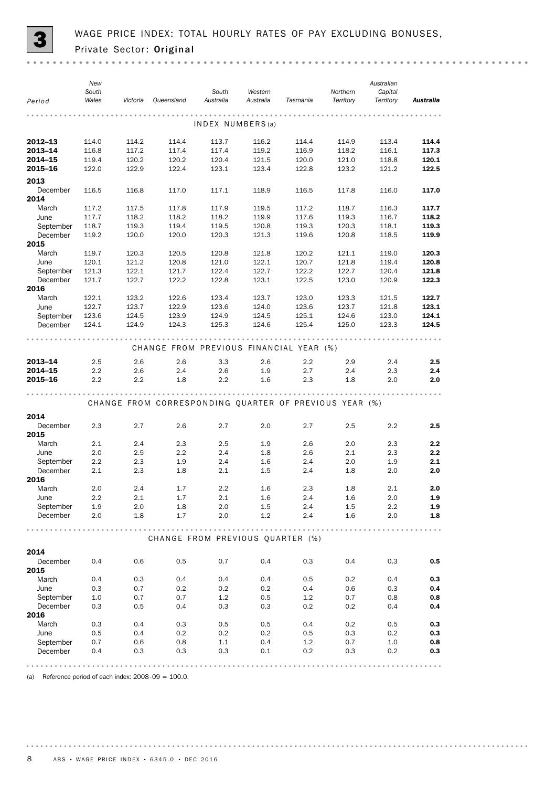

| Period           | New<br>South<br>Wales | Victoria | Queensland                                             | South<br>Australia | Western<br>Australia | Tasmania | Northern<br>Territory | Australian<br>Capital<br>Territory | Australia |
|------------------|-----------------------|----------|--------------------------------------------------------|--------------------|----------------------|----------|-----------------------|------------------------------------|-----------|
|                  |                       |          |                                                        | INDEX NUMBERS(a)   |                      | .        |                       |                                    |           |
| 2012-13          | 114.0                 | 114.2    | 114.4                                                  | 113.7              | 116.2                | 114.4    | 114.9                 | 113.4                              | 114.4     |
| 2013-14          | 116.8                 | 117.2    | 117.4                                                  | 117.4              | 119.2                | 116.9    | 118.2                 | 116.1                              | 117.3     |
| 2014-15          | 119.4                 | 120.2    | 120.2                                                  | 120.4              | 121.5                | 120.0    | 121.0                 | 118.8                              | 120.1     |
| 2015-16          | 122.0                 | 122.9    | 122.4                                                  | 123.1              | 123.4                | 122.8    | 123.2                 | 121.2                              | 122.5     |
|                  |                       |          |                                                        |                    |                      |          |                       |                                    |           |
| 2013             |                       |          |                                                        |                    |                      |          |                       |                                    |           |
| December         | 116.5                 | 116.8    | 117.0                                                  | 117.1              | 118.9                | 116.5    | 117.8                 | 116.0                              | 117.0     |
| 2014             |                       |          |                                                        |                    |                      |          |                       |                                    |           |
| March            | 117.2                 | 117.5    | 117.8                                                  | 117.9              | 119.5                | 117.2    | 118.7                 | 116.3                              | 117.7     |
| June             | 117.7                 | 118.2    | 118.2                                                  | 118.2              | 119.9                | 117.6    | 119.3                 | 116.7                              | 118.2     |
| September        | 118.7                 | 119.3    | 119.4                                                  | 119.5              | 120.8                | 119.3    | 120.3                 | 118.1                              | 119.3     |
| December         | 119.2                 | 120.0    | 120.0                                                  | 120.3              | 121.3                | 119.6    | 120.8                 | 118.5                              | 119.9     |
| 2015             |                       |          |                                                        |                    |                      |          |                       |                                    |           |
| March            | 119.7                 | 120.3    | 120.5                                                  | 120.8              | 121.8                | 120.2    | 121.1                 | 119.0                              | 120.3     |
| June             | 120.1                 | 121.2    | 120.8                                                  | 121.0              | 122.1                | 120.7    | 121.8                 | 119.4                              | 120.8     |
| September        | 121.3                 | 122.1    | 121.7                                                  | 122.4              | 122.7<br>123.1       | 122.2    | 122.7                 | 120.4                              | 121.8     |
| December<br>2016 | 121.7                 | 122.7    | 122.2                                                  | 122.8              |                      | 122.5    | 123.0                 | 120.9                              | 122.3     |
| March            | 122.1                 | 123.2    | 122.6                                                  | 123.4              | 123.7                | 123.0    | 123.3                 | 121.5                              | 122.7     |
| June             | 122.7                 | 123.7    | 122.9                                                  | 123.6              | 124.0                | 123.6    | 123.7                 | 121.8                              | 123.1     |
| September        | 123.6                 | 124.5    | 123.9                                                  | 124.9              | 124.5                | 125.1    | 124.6                 | 123.0                              | 124.1     |
| December         | 124.1                 | 124.9    | 124.3                                                  | 125.3              | 124.6                | 125.4    | 125.0                 | 123.3                              | 124.5     |
|                  |                       |          |                                                        |                    |                      |          |                       |                                    |           |
|                  |                       |          | CHANGE FROM PREVIOUS FINANCIAL YEAR (%)                |                    |                      |          |                       |                                    |           |
| 2013-14          | 2.5                   | 2.6      | 2.6                                                    | 3.3                | 2.6                  | 2.2      | 2.9                   | 2.4                                | 2.5       |
| 2014-15          | 2.2                   | 2.6      | 2.4                                                    | 2.6                | 1.9                  | 2.7      | 2.4                   | 2.3                                | 2.4       |
| 2015-16          | 2.2                   | 2.2      | 1.8                                                    | 2.2                | 1.6                  | 2.3      | 1.8                   | 2.0                                | 2.0       |
|                  |                       |          |                                                        |                    |                      |          |                       |                                    |           |
|                  |                       |          |                                                        |                    |                      |          |                       |                                    |           |
|                  |                       |          | CHANGE FROM CORRESPONDING QUARTER OF PREVIOUS YEAR (%) |                    |                      |          |                       |                                    |           |
| 2014             |                       |          |                                                        |                    |                      |          |                       |                                    |           |
| December         | 2.3                   | 2.7      | 2.6                                                    | 2.7                | 2.0                  | 2.7      | 2.5                   | 2.2                                | 2.5       |
| 2015             |                       |          |                                                        |                    |                      |          |                       |                                    |           |
| March            | 2.1                   | 2.4      | 2.3                                                    | 2.5                | 1.9                  | 2.6      | 2.0                   | 2.3                                | 2.2       |
| June             | 2.0                   | 2.5      | 2.2                                                    | 2.4                | 1.8                  | 2.6      | 2.1                   | 2.3                                | 2.2       |
| September        | 2.2                   | 2.3      | 1.9                                                    | 2.4                | 1.6                  | 2.4      | 2.0                   | 1.9                                | 2.1       |
| December         | 2.1                   | 2.3      | 1.8                                                    | 2.1                | 1.5                  | 2.4      | 1.8                   | 2.0                                | 2.0       |
| 2016             |                       |          |                                                        |                    |                      |          |                       |                                    |           |
| March            | 2.0                   | 2.4      | 1.7                                                    | 2.2                | 1.6                  | 2.3      | 1.8                   | 2.1                                | 2.0       |
| June             | 2.2                   | 2.1      | 1.7                                                    | 2.1                | 1.6                  | 2.4      | 1.6                   | 2.0                                | 1.9       |
| September        | 1.9                   | 2.0      | 1.8                                                    | 2.0                | 1.5                  | 2.4      | 1.5                   | 2.2                                | 1.9       |
| December         | 2.0                   | 1.8      | 1.7                                                    | 2.0                | 1.2                  | 2.4      | 1.6                   | 2.0                                | 1.8       |
|                  |                       |          |                                                        |                    |                      |          |                       |                                    |           |
|                  |                       |          | CHANGE FROM PREVIOUS QUARTER (%)                       |                    |                      |          |                       |                                    |           |
| 2014             |                       |          |                                                        |                    |                      |          |                       |                                    |           |
| December         | 0.4                   | 0.6      | 0.5                                                    | 0.7                | 0.4                  | 0.3      | 0.4                   | 0.3                                | 0.5       |
| 2015             |                       |          |                                                        |                    |                      |          |                       |                                    |           |
| March            | 0.4                   | 0.3      | 0.4                                                    | 0.4                | 0.4                  | 0.5      | 0.2                   | 0.4                                | 0.3       |
| June             | 0.3                   | 0.7      | 0.2                                                    | 0.2                | 0.2                  | 0.4      | 0.6                   | 0.3                                | 0.4       |
| September        | 1.0                   | 0.7      | 0.7                                                    | 1.2                | 0.5                  | 1.2      | 0.7                   | 0.8                                | 0.8       |
| December         | 0.3                   | 0.5      | 0.4                                                    | 0.3                | 0.3                  | 0.2      | 0.2                   | 0.4                                | 0.4       |
| 2016             |                       |          |                                                        |                    |                      |          |                       |                                    |           |
| March            | 0.3                   | 0.4      | 0.3                                                    | 0.5                | 0.5                  | 0.4      | 0.2                   | 0.5                                | 0.3       |
| June             | 0.5                   | 0.4      | 0.2                                                    | 0.2                | 0.2                  | 0.5      | 0.3                   | 0.2                                | 0.3       |
| September        | 0.7                   | 0.6      | 0.8                                                    | 1.1                | 0.4                  | 1.2      | 0.7                   | 1.0                                | 0.8       |
| December         | 0.4                   | 0.3      | 0.3                                                    | 0.3                | 0.1                  | 0.2      | 0.3                   | 0.2                                | 0.3       |
|                  |                       |          |                                                        |                    |                      |          |                       |                                    |           |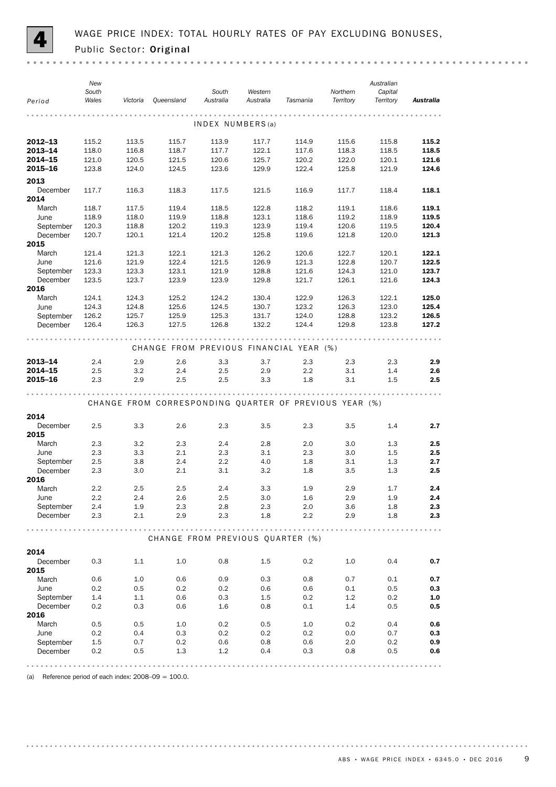

| Period           | New<br>South<br>Wales | Victoria       | Queensland     | South<br>Australia | Western<br>Australia                                              | Tasmania                                               | Northern<br>Territory | Australian<br>Capital<br>Territory | Australia |
|------------------|-----------------------|----------------|----------------|--------------------|-------------------------------------------------------------------|--------------------------------------------------------|-----------------------|------------------------------------|-----------|
|                  |                       |                |                |                    |                                                                   |                                                        |                       |                                    |           |
|                  |                       |                |                | INDEX NUMBERS(a)   |                                                                   |                                                        |                       |                                    |           |
| 2012-13          | 115.2                 | 113.5          | 115.7          | 113.9              | 117.7                                                             | 114.9                                                  | 115.6                 | 115.8                              | 115.2     |
| 2013-14          | 118.0                 | 116.8          | 118.7          | 117.7              | 122.1                                                             | 117.6                                                  | 118.3                 | 118.5                              | 118.5     |
| 2014-15          | 121.0                 | 120.5          | 121.5          | 120.6              | 125.7                                                             | 120.2                                                  | 122.0                 | 120.1                              | 121.6     |
| 2015-16          | 123.8                 | 124.0          | 124.5          | 123.6              | 129.9                                                             | 122.4                                                  | 125.8                 | 121.9                              | 124.6     |
| 2013             |                       |                |                |                    |                                                                   |                                                        |                       |                                    |           |
| December         | 117.7                 | 116.3          | 118.3          | 117.5              | 121.5                                                             | 116.9                                                  | 117.7                 | 118.4                              | 118.1     |
| 2014             |                       |                |                |                    |                                                                   |                                                        |                       |                                    |           |
| March            | 118.7                 | 117.5          | 119.4          | 118.5              | 122.8                                                             | 118.2                                                  | 119.1                 | 118.6                              | 119.1     |
| June             | 118.9                 | 118.0          | 119.9          | 118.8              | 123.1                                                             | 118.6                                                  | 119.2                 | 118.9                              | 119.5     |
| September        | 120.3                 | 118.8          | 120.2          | 119.3              | 123.9                                                             | 119.4                                                  | 120.6                 | 119.5                              | 120.4     |
| December         | 120.7                 | 120.1          | 121.4          | 120.2              | 125.8                                                             | 119.6                                                  | 121.8                 | 120.0                              | 121.3     |
| 2015             | 121.4                 |                |                |                    |                                                                   |                                                        |                       |                                    | 122.1     |
| March<br>June    | 121.6                 | 121.3<br>121.9 | 122.1<br>122.4 | 121.3<br>121.5     | 126.2<br>126.9                                                    | 120.6<br>121.3                                         | 122.7<br>122.8        | 120.1<br>120.7                     | 122.5     |
| September        | 123.3                 | 123.3          | 123.1          | 121.9              | 128.8                                                             | 121.6                                                  | 124.3                 | 121.0                              | 123.7     |
| December         | 123.5                 | 123.7          | 123.9          | 123.9              | 129.8                                                             | 121.7                                                  | 126.1                 | 121.6                              | 124.3     |
| 2016             |                       |                |                |                    |                                                                   |                                                        |                       |                                    |           |
| March            | 124.1                 | 124.3          | 125.2          | 124.2              | 130.4                                                             | 122.9                                                  | 126.3                 | 122.1                              | 125.0     |
| June             | 124.3                 | 124.8          | 125.6          | 124.5              | 130.7                                                             | 123.2                                                  | 126.3                 | 123.0                              | 125.4     |
| September        | 126.2                 | 125.7          | 125.9          | 125.3              | 131.7                                                             | 124.0                                                  | 128.8                 | 123.2                              | 126.5     |
| December         | 126.4                 | 126.3          | 127.5          | 126.8              | 132.2                                                             | 124.4                                                  | 129.8                 | 123.8                              | 127.2     |
|                  |                       |                |                |                    |                                                                   |                                                        |                       |                                    |           |
|                  |                       |                |                |                    |                                                                   | CHANGE FROM PREVIOUS FINANCIAL YEAR (%)                |                       |                                    |           |
| 2013-14          | 2.4                   | 2.9            | 2.6            | 3.3                | 3.7                                                               | 2.3                                                    | 2.3                   | 2.3                                | 2.9       |
| 2014-15          | 2.5                   | 3.2            | 2.4            | 2.5                | 2.9                                                               | 2.2                                                    | 3.1                   | 1.4                                | 2.6       |
| 2015-16          | 2.3                   | 2.9            | 2.5            | 2.5                | 3.3                                                               | 1.8                                                    | 3.1                   | 1.5                                | 2.5       |
|                  |                       |                |                |                    |                                                                   |                                                        |                       |                                    |           |
|                  |                       |                |                |                    |                                                                   | CHANGE FROM CORRESPONDING QUARTER OF PREVIOUS YEAR (%) |                       |                                    |           |
|                  |                       |                |                |                    |                                                                   |                                                        |                       |                                    |           |
| 2014             |                       |                |                |                    |                                                                   |                                                        |                       |                                    |           |
| December<br>2015 | 2.5                   | 3.3            | 2.6            | 2.3                | 3.5                                                               | 2.3                                                    | 3.5                   | 1.4                                | 2.7       |
| March            | 2.3                   | 3.2            | 2.3            | 2.4                | 2.8                                                               | 2.0                                                    | 3.0                   | 1.3                                | 2.5       |
| June             | 2.3                   | 3.3            | 2.1            | 2.3                | 3.1                                                               | 2.3                                                    | 3.0                   | 1.5                                | 2.5       |
| September        | 2.5                   | 3.8            | 2.4            | 2.2                | 4.0                                                               | 1.8                                                    | 3.1                   | 1.3                                | 2.7       |
| December         | 2.3                   | 3.0            | 2.1            | 3.1                | 3.2                                                               | 1.8                                                    | 3.5                   | 1.3                                | 2.5       |
| 2016             |                       |                |                |                    |                                                                   |                                                        |                       |                                    |           |
| March            | 2.2                   | 2.5            | 2.5            | 2.4                | 3.3                                                               | 1.9                                                    | 2.9                   | 1.7                                | 2.4       |
| June             | 2.2                   | 2.4            | 2.6            | 2.5                | 3.0                                                               | 1.6                                                    | 2.9                   | 1.9                                | 2.4       |
| September        | 2.4                   | 1.9            | 2.3            | 2.8                | 2.3                                                               | 2.0                                                    | 3.6                   | 1.8                                | 2.3       |
| December         | 2.3                   | 2.1            | 2.9            | 2.3                | 1.8                                                               | 2.2                                                    | 2.9                   | 1.8                                | 2.3       |
|                  |                       |                |                |                    | $\begin{array}{cccccccccccccc} 0 & 0 & 0 & 0 & 0 & 0 \end{array}$ | .                                                      |                       |                                    |           |
|                  |                       |                |                |                    |                                                                   | CHANGE FROM PREVIOUS QUARTER (%)                       |                       |                                    |           |
| 2014             |                       |                |                |                    |                                                                   |                                                        |                       |                                    |           |
| December         | 0.3                   | 1.1            | 1.0            | 0.8                | 1.5                                                               | 0.2                                                    | 1.0                   | 0.4                                | 0.7       |
| 2015             |                       |                |                |                    |                                                                   |                                                        |                       |                                    |           |
| March            | 0.6                   | 1.0            | 0.6            | 0.9                | 0.3                                                               | 0.8                                                    | 0.7                   | 0.1                                | 0.7       |
| June             | 0.2                   | 0.5            | 0.2            | 0.2                | 0.6                                                               | 0.6                                                    | 0.1                   | 0.5                                | 0.3       |
| September        | 1.4                   | 1.1            | 0.6            | 0.3                | $1.5\,$                                                           | 0.2                                                    | 1.2                   | 0.2                                | 1.0       |
| December         | 0.2                   | 0.3            | 0.6            | 1.6                | 0.8                                                               | 0.1                                                    | 1.4                   | 0.5                                | 0.5       |
| 2016             |                       |                |                |                    |                                                                   |                                                        |                       |                                    |           |
| March            | 0.5                   | 0.5            | 1.0            | 0.2                | 0.5                                                               | 1.0                                                    | 0.2                   | 0.4                                | 0.6       |
| June             | 0.2                   | 0.4            | 0.3            | 0.2                | 0.2                                                               | 0.2                                                    | 0.0                   | 0.7                                | 0.3       |
| September        | $1.5\,$               | 0.7            | 0.2            | 0.6                | 0.8                                                               | 0.6                                                    | 2.0                   | 0.2                                | 0.9       |
| December         | 0.2                   | 0.5            | 1.3            | 1.2                | 0.4                                                               | 0.3                                                    | 0.8                   | 0.5                                | 0.6       |
|                  |                       |                |                |                    |                                                                   |                                                        |                       |                                    |           |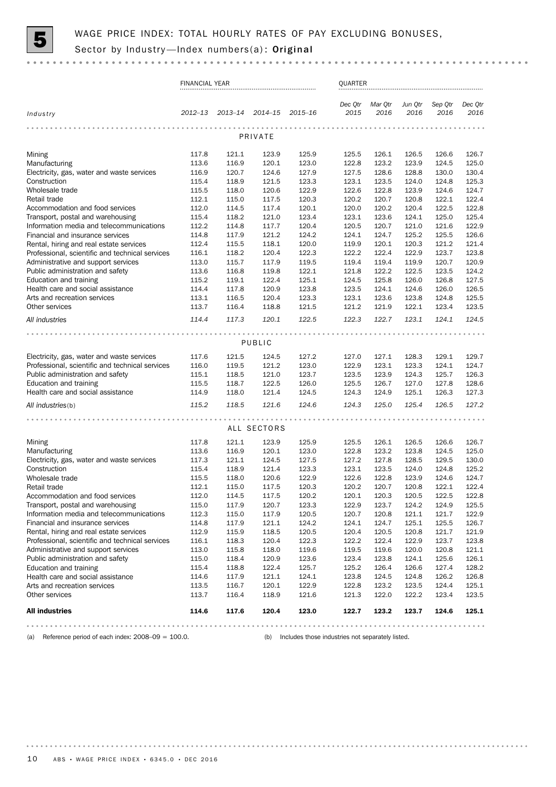

|                                                                                        | <b>FINANCIAL YEAR</b> |                 |                |                | QUARTER         |                 |                 |                 |                 |
|----------------------------------------------------------------------------------------|-----------------------|-----------------|----------------|----------------|-----------------|-----------------|-----------------|-----------------|-----------------|
| Industry                                                                               | 2012–13               | 2013-14 2014-15 |                | 2015-16        | Dec Qtr<br>2015 | Mar Qtr<br>2016 | Jun Qtr<br>2016 | Sep Qtr<br>2016 | Dec Otr<br>2016 |
|                                                                                        |                       |                 | PRIVATE        |                |                 |                 |                 |                 |                 |
|                                                                                        |                       |                 |                |                |                 |                 |                 |                 |                 |
| Mining<br>Manufacturing                                                                | 117.8<br>113.6        | 121.1<br>116.9  | 123.9<br>120.1 | 125.9<br>123.0 | 125.5<br>122.8  | 126.1<br>123.2  | 126.5<br>123.9  | 126.6<br>124.5  | 126.7<br>125.0  |
| Electricity, gas, water and waste services                                             | 116.9                 | 120.7           | 124.6          | 127.9          | 127.5           | 128.6           | 128.8           | 130.0           | 130.4           |
| Construction                                                                           | 115.4                 | 118.9           | 121.5          | 123.3          | 123.1           | 123.5           | 124.0           | 124.8           | 125.3           |
| Wholesale trade                                                                        | 115.5                 | 118.0           | 120.6          | 122.9          | 122.6           | 122.8           | 123.9           | 124.6           | 124.7           |
| Retail trade                                                                           | 112.1                 | 115.0           | 117.5          | 120.3          | 120.2           | 120.7           | 120.8           | 122.1           | 122.4           |
| Accommodation and food services                                                        | 112.0                 | 114.5           | 117.4          | 120.1          | 120.0           | 120.2           | 120.4           | 122.5           | 122.8           |
| Transport, postal and warehousing                                                      | 115.4                 | 118.2           | 121.0          | 123.4          | 123.1           | 123.6           | 124.1           | 125.0           | 125.4           |
| Information media and telecommunications                                               | 112.2                 | 114.8           | 117.7          | 120.4          | 120.5           | 120.7           | 121.0           | 121.6           | 122.9           |
| Financial and insurance services                                                       | 114.8                 | 117.9           | 121.2          | 124.2          | 124.1           | 124.7           | 125.2           | 125.5           | 126.6           |
| Rental, hiring and real estate services                                                | 112.4                 | 115.5           | 118.1          | 120.0          | 119.9           | 120.1           | 120.3           | 121.2           | 121.4           |
| Professional, scientific and technical services<br>Administrative and support services | 116.1<br>113.0        | 118.2<br>115.7  | 120.4<br>117.9 | 122.3<br>119.5 | 122.2<br>119.4  | 122.4<br>119.4  | 122.9<br>119.9  | 123.7<br>120.7  | 123.8<br>120.9  |
| Public administration and safety                                                       | 113.6                 | 116.8           | 119.8          | 122.1          | 121.8           | 122.2           | 122.5           | 123.5           | 124.2           |
| Education and training                                                                 | 115.2                 | 119.1           | 122.4          | 125.1          | 124.5           | 125.8           | 126.0           | 126.8           | 127.5           |
| Health care and social assistance                                                      | 114.4                 | 117.8           | 120.9          | 123.8          | 123.5           | 124.1           | 124.6           | 126.0           | 126.5           |
| Arts and recreation services                                                           | 113.1                 | 116.5           | 120.4          | 123.3          | 123.1           | 123.6           | 123.8           | 124.8           | 125.5           |
| Other services                                                                         | 113.7                 | 116.4           | 118.8          | 121.5          | 121.2           | 121.9           | 122.1           | 123.4           | 123.5           |
| All industries                                                                         | 114.4                 | 117.3           | 120.1          | 122.5          | 122.3           | 122.7           | 123.1           | 124.1           | 124.5           |
|                                                                                        |                       |                 |                |                |                 |                 |                 |                 |                 |
|                                                                                        |                       |                 | PUBLIC         |                |                 |                 |                 |                 |                 |
| Electricity, gas, water and waste services                                             | 117.6                 | 121.5           | 124.5          | 127.2          | 127.0           | 127.1           | 128.3           | 129.1           | 129.7           |
| Professional, scientific and technical services                                        | 116.0                 | 119.5           | 121.2          | 123.0          | 122.9           | 123.1           | 123.3           | 124.1           | 124.7           |
| Public administration and safety                                                       | 115.1                 | 118.5           | 121.0          | 123.7          | 123.5           | 123.9           | 124.3           | 125.7           | 126.3           |
| Education and training                                                                 | 115.5                 | 118.7           | 122.5          | 126.0          | 125.5           | 126.7           | 127.0           | 127.8           | 128.6           |
| Health care and social assistance                                                      | 114.9                 | 118.0           | 121.4          | 124.5          | 124.3           | 124.9           | 125.1           | 126.3           | 127.3           |
| All industries(b)                                                                      | 115.2                 | 118.5           | 121.6          | 124.6          | 124.3           | 125.0           | 125.4           | 126.5           | 127.2           |
|                                                                                        |                       |                 |                |                |                 |                 |                 |                 |                 |
|                                                                                        |                       |                 | ALL SECTORS    |                |                 |                 |                 |                 |                 |
| Mining                                                                                 | 117.8                 | 121.1           | 123.9          | 125.9          | 125.5           | 126.1           | 126.5           | 126.6           | 126.7           |
| Manufacturing                                                                          | 113.6                 | 116.9           | 120.1          | 123.0          | 122.8           | 123.2           | 123.8           | 124.5           | 125.0           |
| Electricity, gas, water and waste services                                             | 117.3                 | 121.1           | 124.5          | 127.5          | 127.2           | 127.8           | 128.5           | 129.5           | 130.0           |
| Construction                                                                           | 115.4                 | 118.9           | 121.4          | 123.3          | 123.1           | 123.5           | 124.0           | 124.8           | 125.2           |
| Wholesale trade                                                                        | 115.5                 | 118.0           | 120.6          | 122.9          | 122.6           | 122.8           | 123.9           | 124.6           | 124.7           |
| Retail trade                                                                           | 112.1                 | 115.0           | 117.5          | 120.3          | 120.2<br>120.1  | 120.7           | 120.8           | 122.1           | 122.4           |
| Accommodation and food services<br>Transport, postal and warehousing                   | 112.0<br>115.0        | 114.5<br>117.9  | 117.5<br>120.7 | 120.2<br>123.3 | 122.9           | 120.3<br>123.7  | 120.5<br>124.2  | 122.5<br>124.9  | 122.8<br>125.5  |
| Information media and telecommunications                                               | 112.3                 | 115.0           | 117.9          | 120.5          | 120.7           | 120.8           | 121.1           | 121.7           | 122.9           |
| Financial and insurance services                                                       | 114.8                 | 117.9           | 121.1          | 124.2          | 124.1           | 124.7           | 125.1           | 125.5           | 126.7           |
| Rental, hiring and real estate services                                                | 112.9                 | 115.9           | 118.5          | 120.5          | 120.4           | 120.5           | 120.8           | 121.7           | 121.9           |
| Professional, scientific and technical services                                        | 116.1                 | 118.3           | 120.4          | 122.3          | 122.2           | 122.4           | 122.9           | 123.7           | 123.8           |
| Administrative and support services                                                    | 113.0                 | 115.8           | 118.0          | 119.6          | 119.5           | 119.6           | 120.0           | 120.8           | 121.1           |
| Public administration and safety                                                       | 115.0                 | 118.4           | 120.9          | 123.6          | 123.4           | 123.8           | 124.1           | 125.6           | 126.1           |
| Education and training                                                                 | 115.4                 | 118.8           | 122.4          | 125.7          | 125.2           | 126.4           | 126.6           | 127.4           | 128.2           |
| Health care and social assistance                                                      | 114.6                 | 117.9           | 121.1          | 124.1          | 123.8           | 124.5           | 124.8           | 126.2           | 126.8           |
| Arts and recreation services                                                           | 113.5                 | 116.7           | 120.1          | 122.9          | 122.8           | 123.2           | 123.5           | 124.4           | 125.1           |
| Other services                                                                         | 113.7                 | 116.4           | 118.9          | 121.6          | 121.3           | 122.0           | 122.2           | 123.4           | 123.5           |
| <b>All industries</b>                                                                  | 114.6                 | 117.6           | 120.4          | 123.0          | 122.7           | 123.2           | 123.7           | 124.6           | 125.1           |
|                                                                                        |                       |                 |                |                |                 |                 |                 |                 |                 |

(a) Reference period of each index: 2008–09 = 100.0. (b) Includes those industries not separately listed.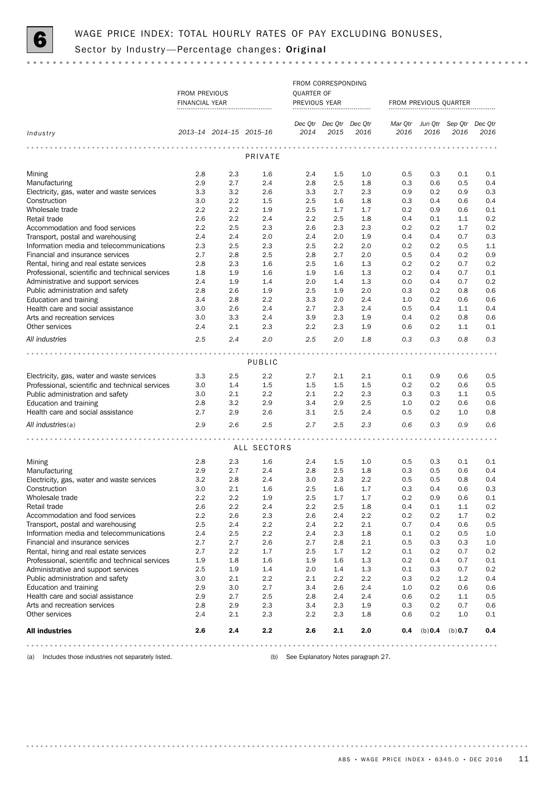

|                                                                                        |                       |                         |             |               | FROM CORRESPONDING      |            |            |            |                                 |            |
|----------------------------------------------------------------------------------------|-----------------------|-------------------------|-------------|---------------|-------------------------|------------|------------|------------|---------------------------------|------------|
|                                                                                        | FROM PREVIOUS         |                         |             | QUARTER OF    |                         |            |            |            |                                 |            |
|                                                                                        | <b>FINANCIAL YEAR</b> |                         |             | PREVIOUS YEAR |                         |            |            |            | FROM PREVIOUS QUARTER           |            |
|                                                                                        |                       |                         |             |               |                         |            |            |            |                                 |            |
|                                                                                        |                       |                         |             |               | Dec Qtr Dec Qtr Dec Qtr |            |            |            | Mar Qtr Jun Qtr Sep Qtr Dec Qtr |            |
| Industry                                                                               |                       | 2013-14 2014-15 2015-16 |             | 2014          | 2015                    | 2016       | 2016       | 2016       | 2016                            | 2016       |
|                                                                                        |                       |                         |             |               |                         |            |            |            |                                 |            |
|                                                                                        |                       |                         | PRIVATE     |               |                         |            |            |            |                                 |            |
|                                                                                        |                       |                         |             |               |                         |            |            |            |                                 |            |
| Mining                                                                                 | 2.8                   | 2.3                     | 1.6         | 2.4           | 1.5                     | 1.0        | 0.5        | 0.3        | 0.1                             | 0.1        |
| Manufacturing                                                                          | 2.9                   | 2.7                     | 2.4         | 2.8           | 2.5                     | 1.8        | 0.3        | 0.6        | 0.5                             | 0.4        |
| Electricity, gas, water and waste services                                             | 3.3                   | 3.2                     | 2.6         | 3.3           | 2.7                     | 2.3        | 0.9        | 0.2        | 0.9                             | 0.3        |
| Construction                                                                           | 3.0                   | $2.2\,$                 | 1.5         | 2.5           | 1.6                     | 1.8        | 0.3        | 0.4        | 0.6                             | 0.4        |
| Wholesale trade                                                                        | 2.2                   | $2.2\,$                 | 1.9         | 2.5           | 1.7                     | 1.7        | 0.2        | 0.9        | 0.6                             | 0.1        |
| Retail trade                                                                           | 2.6                   | 2.2                     | 2.4         | 2.2           | 2.5                     | 1.8        | 0.4        | 0.1        | 1.1                             | 0.2        |
| Accommodation and food services                                                        | 2.2                   | 2.5                     | 2.3         | 2.6           | 2.3                     | 2.3        | 0.2        | 0.2        | 1.7                             | 0.2        |
| Transport, postal and warehousing                                                      | 2.4                   | 2.4                     | 2.0         | 2.4           | 2.0<br>2.2              | 1.9        | 0.4        | 0.4        | 0.7                             | 0.3        |
| Information media and telecommunications<br>Financial and insurance services           | 2.3<br>2.7            | 2.5<br>2.8              | 2.3<br>2.5  | 2.5<br>2.8    | 2.7                     | 2.0<br>2.0 | 0.2<br>0.5 | 0.2<br>0.4 | 0.5<br>0.2                      | 1.1<br>0.9 |
| Rental, hiring and real estate services                                                | 2.8                   | 2.3                     |             | 2.5           | 1.6                     |            |            |            | 0.7                             | 0.2        |
| Professional, scientific and technical services                                        | 1.8                   | 1.9                     | 1.6<br>1.6  | 1.9           | 1.6                     | 1.3<br>1.3 | 0.2<br>0.2 | 0.2<br>0.4 | 0.7                             | 0.1        |
| Administrative and support services                                                    | 2.4                   | 1.9                     | 1.4         | 2.0           | 1.4                     | 1.3        | 0.0        | 0.4        | 0.7                             | 0.2        |
| Public administration and safety                                                       | 2.8                   | 2.6                     | 1.9         | 2.5           | 1.9                     | 2.0        | 0.3        | 0.2        | 0.8                             | 0.6        |
| Education and training                                                                 | 3.4                   | 2.8                     | 2.2         | 3.3           | 2.0                     | 2.4        | 1.0        | 0.2        | 0.6                             | 0.6        |
| Health care and social assistance                                                      | 3.0                   | 2.6                     | 2.4         | 2.7           | 2.3                     | 2.4        | 0.5        | 0.4        | 1.1                             | 0.4        |
| Arts and recreation services                                                           | 3.0                   | 3.3                     | 2.4         | 3.9           | 2.3                     | 1.9        | 0.4        | 0.2        | 0.8                             | 0.6        |
| Other services                                                                         | 2.4                   | 2.1                     | 2.3         | 2.2           | 2.3                     | 1.9        | 0.6        | 0.2        | 1.1                             | 0.1        |
| All industries                                                                         | 2.5                   | 2.4                     | 2.0         | 2.5           | 2.0                     | 1.8        | 0.3        | 0.3        | 0.8                             | 0.3        |
|                                                                                        |                       |                         |             |               |                         |            |            |            |                                 |            |
|                                                                                        |                       |                         | PUBLIC      |               |                         |            |            |            |                                 |            |
|                                                                                        |                       |                         |             |               |                         |            |            |            |                                 |            |
| Electricity, gas, water and waste services                                             | 3.3                   | $2.5\,$                 | 2.2         | 2.7           | 2.1                     | 2.1        | 0.1        | 0.9        | 0.6                             | 0.5        |
| Professional, scientific and technical services                                        | 3.0                   | 1.4                     | 1.5         | 1.5           | 1.5                     | 1.5        | 0.2        | 0.2        | 0.6                             | 0.5        |
| Public administration and safety                                                       | 3.0                   | $2.1\,$                 | 2.2         | 2.1           | 2.2                     | 2.3        | 0.3        | 0.3        | 1.1                             | 0.5        |
| Education and training                                                                 | 2.8                   | 3.2                     | 2.9         | 3.4           | 2.9                     | 2.5        | 1.0        | 0.2        | 0.6                             | 0.6        |
| Health care and social assistance                                                      | 2.7                   | 2.9                     | 2.6         | 3.1           | 2.5                     | 2.4        | 0.5        | 0.2        | 1.0                             | 0.8        |
| All industries(a)                                                                      | 2.9                   | 2.6                     | 2.5         | 2.7           | 2.5                     | 2.3        | 0.6        | 0.3        | 0.9                             | 0.6        |
|                                                                                        |                       |                         |             |               |                         |            |            |            |                                 |            |
|                                                                                        |                       |                         | ALL SECTORS |               |                         |            |            |            |                                 |            |
| Mining                                                                                 | 2.8                   | 2.3                     | 1.6         | 2.4           | 1.5                     | 1.0        | 0.5        | 0.3        | 0.1                             | 0.1        |
| Manufacturing                                                                          | 2.9                   | 2.7                     | 2.4         | 2.8           | 2.5                     | 1.8        | 0.3        | 0.5        | 0.6                             | 0.4        |
| Electricity, gas, water and waste services                                             | 3.2                   | 2.8                     | 2.4         | 3.0           | 2.3                     | 2.2        | 0.5        | 0.5        | 0.8                             | 0.4        |
| Construction                                                                           | 3.0                   | 2.1                     | 1.6         | 2.5           | 1.6                     | 1.7        | 0.3        | 0.4        | 0.6                             | 0.3        |
| Wholesale trade                                                                        | 2.2                   | 2.2                     | 1.9         | 2.5           | 1.7                     | 1.7        | 0.2        | 0.9        | 0.6                             | 0.1        |
| Retail trade                                                                           | 2.6                   | 2.2                     | 2.4         | 2.2           | 2.5                     | 1.8        | 0.4        | 0.1        | 1.1                             | 0.2        |
| Accommodation and food services                                                        | 2.2                   | 2.6                     | 2.3         | 2.6           | 2.4                     | 2.2        | 0.2        | 0.2        | 1.7                             | 0.2        |
| Transport, postal and warehousing                                                      | 2.5                   | 2.4                     | 2.2         | 2.4           | 2.2                     | 2.1        | 0.7        | 0.4        | 0.6                             | 0.5        |
| Information media and telecommunications                                               | 2.4                   | 2.5                     | 2.2         | 2.4           | 2.3                     | 1.8        | 0.1        | 0.2        | 0.5                             | 1.0        |
| Financial and insurance services                                                       | 2.7                   | 2.7                     | 2.6         | 2.7           | 2.8                     | 2.1        | 0.5        | 0.3        | 0.3                             | 1.0        |
| Rental, hiring and real estate services                                                | 2.7                   | $2.2\,$                 | 1.7         | 2.5           | 1.7                     | 1.2        | 0.1        | 0.2        | 0.7                             | 0.2        |
| Professional, scientific and technical services<br>Administrative and support services | 1.9<br>2.5            | 1.8                     | 1.6         | 1.9<br>2.0    | 1.6<br>1.4              | 1.3<br>1.3 | 0.2        | 0.4<br>0.3 | 0.7<br>0.7                      | 0.1<br>0.2 |
| Public administration and safety                                                       | 3.0                   | 1.9                     | 1.4<br>2.2  |               | 2.2                     | 2.2        | 0.1        |            | 1.2                             | 0.4        |
| Education and training                                                                 | 2.9                   | 2.1<br>3.0              | 2.7         | 2.1<br>3.4    | 2.6                     | 2.4        | 0.3<br>1.0 | 0.2<br>0.2 | 0.6                             | 0.6        |
| Health care and social assistance                                                      | 2.9                   | 2.7                     | 2.5         | 2.8           | 2.4                     | 2.4        | 0.6        | 0.2        | 1.1                             | 0.5        |
| Arts and recreation services                                                           | 2.8                   | 2.9                     | 2.3         | 3.4           | 2.3                     | 1.9        | 0.3        | 0.2        | 0.7                             | 0.6        |
| Other services                                                                         | 2.4                   | 2.1                     | 2.3         | 2.2           | 2.3                     | 1.8        | 0.6        | 0.2        | 1.0                             | 0.1        |
|                                                                                        | 2.6                   | 2.4                     | 2.2         | 2.6           | 2.1                     | 2.0        |            |            |                                 | 0.4        |
| <b>All industries</b>                                                                  |                       |                         |             |               |                         |            | 0.4        | (b) 0.4    | (b) 0.7                         |            |
|                                                                                        |                       |                         |             |               |                         |            |            |            |                                 |            |

(a) Includes those industries not separately listed. (b) See Explanatory Notes paragraph 27.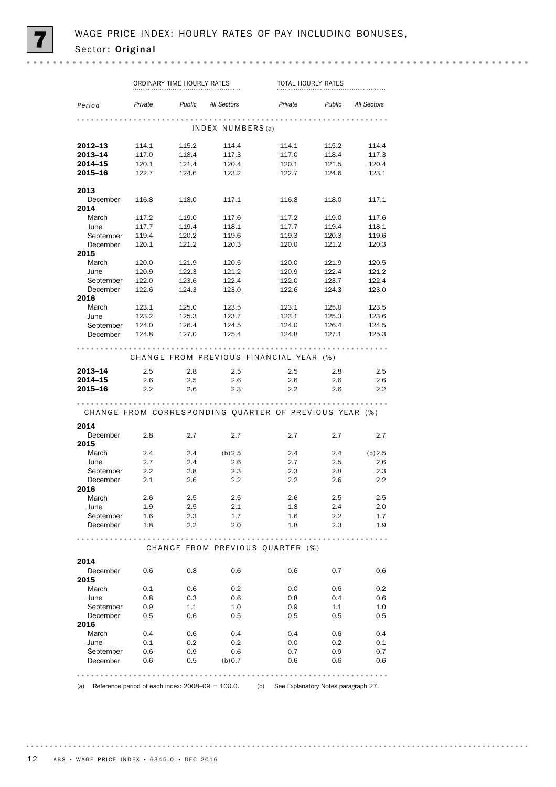|                                       | ORDINARY TIME HOURLY RATES |                           |                                                        | TOTAL HOURLY RATES |                           |                                                                 |  |
|---------------------------------------|----------------------------|---------------------------|--------------------------------------------------------|--------------------|---------------------------|-----------------------------------------------------------------|--|
| Period                                | Private                    | <b>Public</b> All Sectors |                                                        | Private            | <b>Public</b> All Sectors |                                                                 |  |
|                                       |                            |                           | INDEX NUMBERS(a)                                       |                    |                           |                                                                 |  |
| 2012–13                               | 114.1                      | 115.2                     | 114.4                                                  | 114.1              | 115.2                     | 114.4                                                           |  |
| 2013-14                               | 117.0                      | 118.4                     | 117.3                                                  | 117.0              | 118.4                     | 117.3                                                           |  |
| 2014–15                               | 120.1                      | 121.4                     | 120.4                                                  | 120.1              | 121.5                     | 120.4                                                           |  |
| 2015-16                               | 122.7                      | 124.6                     | 123.2                                                  | 122.7              | 124.6                     | 123.1                                                           |  |
| 2013                                  |                            |                           |                                                        |                    |                           |                                                                 |  |
| December<br>2014                      | 116.8                      | 118.0                     | 117.1                                                  | 116.8              | 118.0                     | 117.1                                                           |  |
| March                                 | 117.2                      | 119.0                     | 117.6                                                  | 117.2              | 119.0                     | 117.6                                                           |  |
| June                                  | 117.7                      | 119.4                     | 118.1                                                  | 117.7              | 119.4                     | 118.1                                                           |  |
| September                             | 119.4                      | 120.2                     | 119.6                                                  | 119.3              | 120.3                     | 119.6                                                           |  |
| December                              | 120.1                      | 121.2                     | 120.3                                                  | 120.0              | 121.2                     | 120.3                                                           |  |
| 2015                                  |                            |                           |                                                        |                    |                           |                                                                 |  |
| March                                 | 120.0                      | 121.9                     | 120.5                                                  | 120.0              | 121.9                     | 120.5                                                           |  |
| June                                  | 120.9                      | 122.3                     | 121.2                                                  | 120.9              | 122.4                     | 121.2                                                           |  |
| September 122.0                       |                            | 123.6                     | 122.4                                                  | 122.0              | 123.7                     | 122.4                                                           |  |
| December                              | 122.6                      | 124.3                     | 123.0                                                  | 122.6              | 124.3                     | 123.0                                                           |  |
| 2016                                  |                            |                           |                                                        |                    |                           |                                                                 |  |
| March                                 | 123.1                      | 125.0                     | 123.5                                                  | 123.1              | 125.0                     | 123.5                                                           |  |
| June                                  | 123.2                      | 125.3                     | 123.7                                                  | 123.1              | 125.3                     | 123.6                                                           |  |
| September 124.0                       |                            | 126.4                     | 124.5                                                  | 124.0              | 126.4                     | 124.5                                                           |  |
| December 124.8                        |                            | 127.0                     | 125.4                                                  | 124.8              | 127.1                     | 125.3                                                           |  |
|                                       |                            |                           | CHANGE FROM PREVIOUS FINANCIAL YEAR (%)                |                    |                           |                                                                 |  |
|                                       | 2.5                        | 2.8                       |                                                        | 2.5                | 2.8                       | 2.5                                                             |  |
|                                       |                            |                           | 2.5                                                    |                    |                           |                                                                 |  |
|                                       | 2.6                        | 2.5                       | 2.6                                                    | 2.6                | 2.6                       |                                                                 |  |
|                                       | 2.2                        | 2.6                       | 2.3                                                    | 2.2                | 2.6                       |                                                                 |  |
|                                       |                            |                           | CHANGE FROM CORRESPONDING QUARTER OF PREVIOUS YEAR (%) |                    |                           | 2.6<br>2.2                                                      |  |
| 2013-14<br>2014–15<br>2015–16<br>2014 |                            |                           |                                                        |                    |                           |                                                                 |  |
| December                              | 2.8                        | 2.7                       | 2.7                                                    | 2.7                | 2.7                       |                                                                 |  |
| 2015                                  |                            |                           |                                                        |                    |                           |                                                                 |  |
| March                                 | 2.4                        | 2.4                       | (b)2.5                                                 | 2.4                | 2.4                       |                                                                 |  |
| June                                  | 2.7                        | 2.4                       | 2.6                                                    | 2.7                | 2.5                       |                                                                 |  |
|                                       |                            |                           |                                                        |                    |                           |                                                                 |  |
| September                             | $2.2\phantom{0}$           | 2.8                       | 2.3                                                    | 2.3                | 2.8                       |                                                                 |  |
| December                              | 2.1                        | 2.6                       | 2.2                                                    | 2.2                | 2.6                       |                                                                 |  |
| 2016                                  | 2.6                        |                           |                                                        |                    |                           |                                                                 |  |
| March<br>June                         |                            | 2.5                       | 2.5                                                    | 2.6                | 2.5                       |                                                                 |  |
|                                       | 1.9                        | $2.5\,$                   | 2.1                                                    | 1.8                | 2.4                       |                                                                 |  |
| September<br>December                 | 1.6<br>1.8                 | 2.3<br>2.2                | 1.7<br>2.0                                             | 1.6<br>1.8         | $2.2\,$<br>2.3            |                                                                 |  |
| .                                     |                            |                           |                                                        |                    |                           | 2.7<br>(b) 2.5<br>2.6<br>2.3<br>2.2<br>2.5<br>2.0<br>1.7<br>1.9 |  |
|                                       |                            |                           | CHANGE FROM PREVIOUS QUARTER (%)                       |                    |                           |                                                                 |  |
|                                       |                            |                           |                                                        |                    |                           |                                                                 |  |
| 2014<br>December<br>2015              | 0.6                        | 0.8                       | 0.6                                                    | 0.6                | 0.7                       |                                                                 |  |
| March                                 | $-0.1$                     | 0.6                       | 0.2                                                    | 0.0                | 0.6                       |                                                                 |  |
| June                                  | 0.8                        | 0.3                       | 0.6                                                    | 0.8                | 0.4                       | 0.6<br>0.2<br>0.6                                               |  |
|                                       |                            |                           |                                                        |                    |                           |                                                                 |  |
| September                             | 0.9                        | 1.1                       | 1.0                                                    | 0.9                | 1.1                       |                                                                 |  |
| December                              | 0.5                        | 0.6                       | 0.5                                                    | 0.5                | 0.5                       |                                                                 |  |
|                                       |                            |                           |                                                        |                    |                           |                                                                 |  |
| March                                 | 0.4                        | 0.6                       | 0.4                                                    | 0.4                | 0.6                       |                                                                 |  |
| June                                  | 0.1                        | 0.2                       | 0.2                                                    | 0.0                | 0.2                       |                                                                 |  |
| 2016<br>September<br>December         | 0.6<br>0.6                 | 0.9<br>0.5                | 0.6<br>(b) 0.7                                         | 0.7<br>0.6         | 0.9<br>0.6                | $1.0\,$<br>0.5<br>0.4<br>0.1<br>0.7<br>0.6                      |  |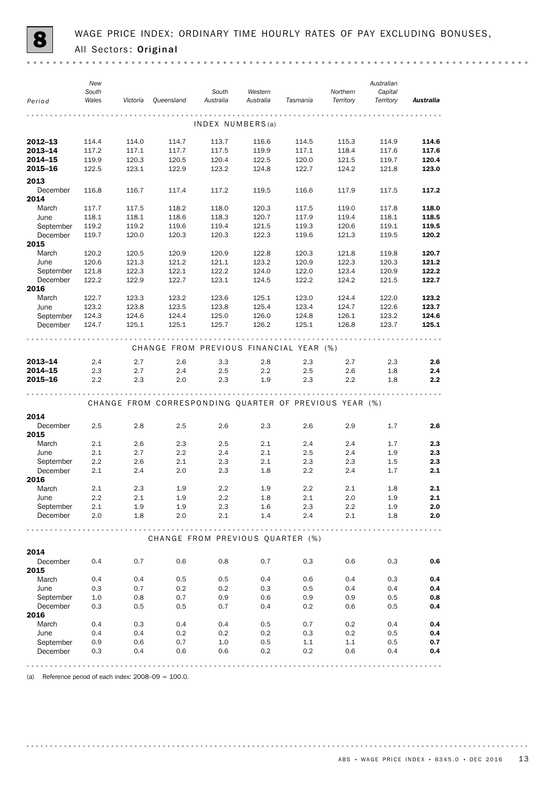| Period           | New<br>South<br>Wales | Victoria | Queensland                                             | South<br>Australia | Western<br>Australia | Tasmania | Northern<br>Territory | Australian<br>Capital<br>Territory | <b>Australia</b> |
|------------------|-----------------------|----------|--------------------------------------------------------|--------------------|----------------------|----------|-----------------------|------------------------------------|------------------|
|                  |                       |          |                                                        |                    |                      |          |                       |                                    |                  |
|                  |                       |          |                                                        | INDEX NUMBERS(a)   |                      |          |                       |                                    |                  |
| $2012 - 13$      | 114.4                 | 114.0    | 114.7                                                  | 113.7              | 116.6                | 114.5    | 115.3                 | 114.9                              | 114.6            |
| 2013-14          | 117.2                 | 117.1    | 117.7                                                  | 117.5              | 119.9                | 117.1    | 118.4                 | 117.6                              | 117.6            |
| 2014-15          | 119.9                 | 120.3    | 120.5                                                  | 120.4              | 122.5                | 120.0    | 121.5                 | 119.7                              | 120.4            |
| 2015-16          | 122.5                 | 123.1    | 122.9                                                  | 123.2              | 124.8                | 122.7    | 124.2                 | 121.8                              | 123.0            |
| 2013             |                       |          |                                                        |                    |                      |          |                       |                                    |                  |
| December<br>2014 | 116.8                 | 116.7    | 117.4                                                  | 117.2              | 119.5                | 116.6    | 117.9                 | 117.5                              | 117.2            |
| March            | 117.7                 | 117.5    | 118.2                                                  | 118.0              | 120.3                | 117.5    | 119.0                 | 117.8                              | 118.0            |
| June             | 118.1                 | 118.1    | 118.6                                                  | 118.3              | 120.7                | 117.9    | 119.4                 | 118.1                              | 118.5            |
| September        | 119.2                 | 119.2    | 119.6                                                  | 119.4              | 121.5                | 119.3    | 120.6                 | 119.1                              | 119.5            |
| December<br>2015 | 119.7                 | 120.0    | 120.3                                                  | 120.3              | 122.3                | 119.6    | 121.3                 | 119.5                              | 120.2            |
| March            | 120.2                 | 120.5    | 120.9                                                  | 120.9              | 122.8                | 120.3    | 121.8                 | 119.8                              | 120.7            |
| June             | 120.6                 | 121.3    | 121.2                                                  | 121.1              | 123.2                | 120.9    | 122.3                 | 120.3                              | 121.2            |
| September        | 121.8                 | 122.3    | 122.1                                                  | 122.2              | 124.0                | 122.0    | 123.4                 | 120.9                              | 122.2            |
| December<br>2016 | 122.2                 | 122.9    | 122.7                                                  | 123.1              | 124.5                | 122.2    | 124.2                 | 121.5                              | 122.7            |
| March            | 122.7                 | 123.3    | 123.2                                                  | 123.6              | 125.1                | 123.0    | 124.4                 | 122.0                              | 123.2            |
| June             | 123.2                 | 123.8    | 123.5                                                  | 123.8              | 125.4                | 123.4    | 124.7                 | 122.6                              | 123.7            |
| September        | 124.3                 | 124.6    | 124.4                                                  | 125.0              | 126.0                | 124.8    | 126.1                 | 123.2                              | 124.6            |
| December         | 124.7                 | 125.1    | 125.1                                                  | 125.7              | 126.2                | 125.1    | 126.8                 | 123.7                              | 125.1            |
|                  |                       |          | CHANGE FROM PREVIOUS FINANCIAL YEAR (%)                |                    |                      |          |                       |                                    |                  |
| $2013 - 14$      | 2.4                   | 2.7      | 2.6                                                    | 3.3                | 2.8                  | 2.3      | 2.7                   | 2.3                                | 2.6              |
| 2014-15          | 2.3                   | 2.7      | 2.4                                                    | 2.5                | 2.2                  | 2.5      | 2.6                   | 1.8                                | 2.4              |
| 2015-16          | 2.2                   | 2.3      | 2.0                                                    | 2.3                | 1.9                  | 2.3      | 2.2                   | 1.8                                | 2.2              |
|                  |                       |          | CHANGE FROM CORRESPONDING QUARTER OF PREVIOUS YEAR (%) |                    |                      |          |                       |                                    |                  |
| 2014             |                       |          |                                                        |                    |                      |          |                       |                                    |                  |
| December<br>2015 | 2.5                   | 2.8      | 2.5                                                    | 2.6                | 2.3                  | 2.6      | 2.9                   | 1.7                                | 2.6              |
| March            | 2.1                   | 2.6      | 2.3                                                    | 2.5                | 2.1                  | $2.4\,$  | 2.4                   | 1.7                                | 2.3              |
| June             | 2.1                   | 2.7      | 2.2                                                    | 2.4                | 2.1                  | 2.5      | 2.4                   | 1.9                                | 2.3              |
| September        | 2.2                   | 2.6      | 2.1                                                    | 2.3                | 2.1                  | 2.3      | 2.3                   | 1.5                                | 2.3              |
| December<br>2016 | 2.1                   | 2.4      | 2.0                                                    | 2.3                | 1.8                  | 2.2      | 2.4                   | 1.7                                | 2.1              |
| March            | 2.1                   | 2.3      | 1.9                                                    | 2.2                | 1.9                  | 2.2      | 2.1                   | 1.8                                | 2.1              |
| June             | 2.2                   | 2.1      | 1.9                                                    | 2.2                | 1.8                  | 2.1      | 2.0                   | 1.9                                | 2.1              |
| September        | 2.1                   | 1.9      | 1.9                                                    | 2.3                | 1.6                  | 2.3      | 2.2                   | 1.9                                | 2.0              |
| December         | 2.0                   | 1.8      | 2.0                                                    | 2.1                | 1.4                  | 2.4      | 2.1                   | 1.8                                | 2.0              |
|                  |                       |          | CHANGE FROM PREVIOUS QUARTER (%)                       |                    |                      |          |                       |                                    |                  |
| 2014             |                       |          |                                                        |                    |                      |          |                       |                                    |                  |
| December<br>2015 | 0.4                   | 0.7      | 0.6                                                    | 0.8                | 0.7                  | 0.3      | 0.6                   | 0.3                                | 0.6              |
| March            | 0.4                   | 0.4      | 0.5                                                    | 0.5                | 0.4                  | 0.6      | 0.4                   | 0.3                                | 0.4              |
| June             | 0.3                   | 0.7      | 0.2                                                    | 0.2                | 0.3                  | 0.5      | 0.4                   | 0.4                                | 0.4              |
| September        | 1.0                   | 0.8      | 0.7                                                    | 0.9                | 0.6                  | 0.9      | 0.9                   | 0.5                                | 0.8              |
| December         | 0.3                   | 0.5      | 0.5                                                    | 0.7                | 0.4                  | 0.2      | 0.6                   | 0.5                                | 0.4              |
| 2016             |                       |          |                                                        |                    |                      |          |                       |                                    |                  |
| March            | 0.4                   | 0.3      | 0.4                                                    | 0.4                | 0.5                  | 0.7      | 0.2                   | 0.4                                | 0.4              |
| June             | 0.4                   | 0.4      | 0.2                                                    | 0.2                | 0.2                  | 0.3      | 0.2                   | 0.5                                | 0.4              |
| September        | 0.9                   | 0.6      | 0.7                                                    | 1.0                | 0.5                  | 1.1      | 1.1                   | 0.5                                | 0.7              |
| December         | 0.3                   | 0.4      | 0.6                                                    | 0.6                | 0.2                  | 0.2      | 0.6                   | 0.4                                | 0.4              |
|                  |                       |          |                                                        |                    |                      |          |                       |                                    |                  |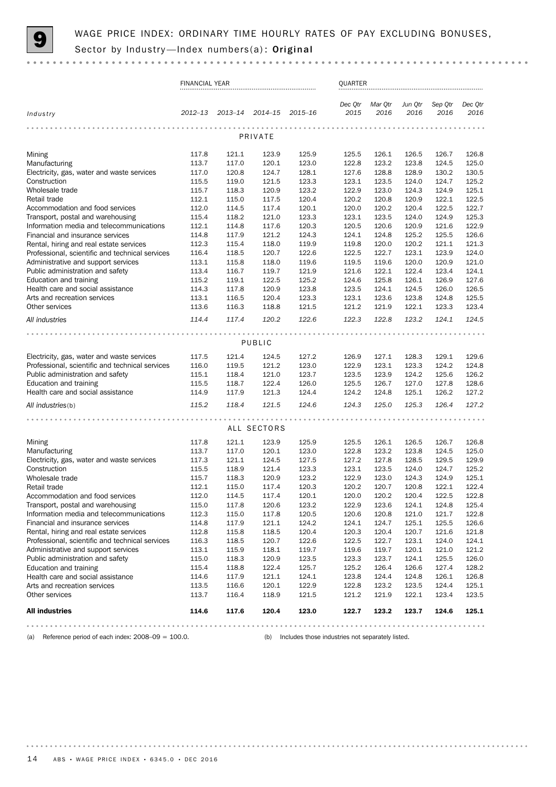

|                                                                                     | <b>FINANCIAL YEAR</b> |                |                |                | <b>OUARTER</b>  |                 |                 |                 |                 |
|-------------------------------------------------------------------------------------|-----------------------|----------------|----------------|----------------|-----------------|-----------------|-----------------|-----------------|-----------------|
| Industry                                                                            | 2012-13               | 2013-14        | $2014 - 15$    | $2015 - 16$    | Dec Qtr<br>2015 | Mar Qtr<br>2016 | Jun Qtr<br>2016 | Sep Qtr<br>2016 | Dec Otr<br>2016 |
|                                                                                     |                       |                | PRIVATE        |                |                 |                 |                 |                 |                 |
| Mining                                                                              | 117.8                 | 121.1          | 123.9          | 125.9          | 125.5           | 126.1           | 126.5           | 126.7           | 126.8           |
| Manufacturing                                                                       | 113.7                 | 117.0          | 120.1          | 123.0          | 122.8           | 123.2           | 123.8           | 124.5           | 125.0           |
| Electricity, gas, water and waste services                                          | 117.0                 | 120.8          | 124.7          | 128.1          | 127.6           | 128.8           | 128.9           | 130.2           | 130.5           |
| Construction                                                                        | 115.5                 | 119.0          | 121.5          | 123.3          | 123.1           | 123.5           | 124.0           | 124.7           | 125.2           |
| Wholesale trade                                                                     | 115.7                 | 118.3          | 120.9          | 123.2          | 122.9           | 123.0           | 124.3           | 124.9           | 125.1           |
| Retail trade                                                                        | 112.1                 | 115.0          | 117.5          | 120.4          | 120.2           | 120.8           | 120.9           | 122.1           | 122.5           |
| Accommodation and food services                                                     | 112.0                 | 114.5          | 117.4          | 120.1          | 120.0           | 120.2           | 120.4           | 122.5           | 122.7           |
| Transport, postal and warehousing                                                   | 115.4                 | 118.2          | 121.0          | 123.3          | 123.1           | 123.5           | 124.0           | 124.9           | 125.3           |
| Information media and telecommunications<br>Financial and insurance services        | 112.1                 | 114.8<br>117.9 | 117.6          | 120.3          | 120.5<br>124.1  | 120.6<br>124.8  | 120.9<br>125.2  | 121.6<br>125.5  | 122.9<br>126.6  |
| Rental, hiring and real estate services                                             | 114.8<br>112.3        | 115.4          | 121.2<br>118.0 | 124.3<br>119.9 | 119.8           | 120.0           | 120.2           | 121.1           | 121.3           |
| Professional, scientific and technical services                                     | 116.4                 | 118.5          | 120.7          | 122.6          | 122.5           | 122.7           | 123.1           | 123.9           | 124.0           |
| Administrative and support services                                                 | 113.1                 | 115.8          | 118.0          | 119.6          | 119.5           | 119.6           | 120.0           | 120.9           | 121.0           |
| Public administration and safety                                                    | 113.4                 | 116.7          | 119.7          | 121.9          | 121.6           | 122.1           | 122.4           | 123.4           | 124.1           |
| Education and training                                                              | 115.2                 | 119.1          | 122.5          | 125.2          | 124.6           | 125.8           | 126.1           | 126.9           | 127.6           |
| Health care and social assistance                                                   | 114.3                 | 117.8          | 120.9          | 123.8          | 123.5           | 124.1           | 124.5           | 126.0           | 126.5           |
| Arts and recreation services                                                        | 113.1                 | 116.5          | 120.4          | 123.3          | 123.1           | 123.6           | 123.8           | 124.8           | 125.5           |
| Other services                                                                      | 113.6                 | 116.3          | 118.8          | 121.5          | 121.2           | 121.9           | 122.1           | 123.3           | 123.4           |
| All industries                                                                      | 114.4                 | 117.4          | 120.2          | 122.6          | 122.3           | 122.8           | 123.2           | 124.1           | 124.5           |
|                                                                                     |                       |                |                |                |                 |                 |                 |                 |                 |
|                                                                                     |                       |                | PUBLIC         |                |                 |                 |                 |                 |                 |
|                                                                                     |                       |                |                |                |                 |                 |                 |                 |                 |
| Electricity, gas, water and waste services                                          | 117.5<br>116.0        | 121.4<br>119.5 | 124.5          | 127.2          | 126.9<br>122.9  | 127.1<br>123.1  | 128.3<br>123.3  | 129.1<br>124.2  | 129.6<br>124.8  |
| Professional, scientific and technical services<br>Public administration and safety | 115.1                 | 118.4          | 121.2<br>121.0 | 123.0<br>123.7 | 123.5           | 123.9           | 124.2           | 125.6           | 126.2           |
| Education and training                                                              | 115.5                 | 118.7          | 122.4          | 126.0          | 125.5           | 126.7           | 127.0           | 127.8           | 128.6           |
| Health care and social assistance                                                   | 114.9                 | 117.9          | 121.3          | 124.4          | 124.2           | 124.8           | 125.1           | 126.2           | 127.2           |
| All industries(b)                                                                   | 115.2                 | 118.4          | 121.5          | 124.6          | 124.3           | 125.0           | 125.3           | 126.4           | 127.2           |
|                                                                                     |                       |                |                |                |                 |                 |                 |                 |                 |
|                                                                                     |                       |                | ALL SECTORS    |                |                 |                 |                 |                 |                 |
| Mining                                                                              | 117.8                 | 121.1          | 123.9          | 125.9          | 125.5           | 126.1           | 126.5           | 126.7           | 126.8           |
| Manufacturing                                                                       | 113.7                 | 117.0          | 120.1          | 123.0          | 122.8           | 123.2           | 123.8           | 124.5           | 125.0           |
| Electricity, gas, water and waste services                                          | 117.3                 | 121.1          | 124.5          | 127.5          | 127.2           | 127.8           | 128.5           | 129.5           | 129.9           |
| Construction                                                                        | 115.5                 | 118.9          | 121.4          | 123.3          | 123.1           | 123.5           | 124.0           | 124.7           | 125.2           |
| Wholesale trade                                                                     | 115.7                 | 118.3          | 120.9          | 123.2          | 122.9           | 123.0           | 124.3           | 124.9           | 125.1           |
| Retail trade                                                                        | 112.1                 | 115.0          | 117.4          | 120.3          | 120.2           | 120.7           | 120.8           | 122.1           | 122.4           |
| Accommodation and food services                                                     | 112.0                 | 114.5          | 117.4          | 120.1          | 120.0           | 120.2           | 120.4           | 122.5           | 122.8           |
| Transport, postal and warehousing                                                   | 115.0                 | 117.8          | 120.6          | 123.2          | 122.9           | 123.6           | 124.1           | 124.8           | 125.4           |
| Information media and telecommunications                                            | 112.3                 | 115.0          | 117.8          | 120.5          | 120.6           | 120.8           | 121.0           | 121.7           | 122.8           |
| Financial and insurance services<br>Rental, hiring and real estate services         | 114.8<br>112.8        | 117.9<br>115.8 | 121.1<br>118.5 | 124.2<br>120.4 | 124.1<br>120.3  | 124.7<br>120.4  | 125.1<br>120.7  | 125.5<br>121.6  | 126.6<br>121.8  |
| Professional, scientific and technical services                                     | 116.3                 | 118.5          | 120.7          | 122.6          | 122.5           | 122.7           | 123.1           | 124.0           | 124.1           |
| Administrative and support services                                                 | 113.1                 | 115.9          | 118.1          | 119.7          | 119.6           | 119.7           | 120.1           | 121.0           | 121.2           |
| Public administration and safety                                                    | 115.0                 | 118.3          | 120.9          | 123.5          | 123.3           | 123.7           | 124.1           | 125.5           | 126.0           |
| Education and training                                                              | 115.4                 | 118.8          | 122.4          | 125.7          | 125.2           | 126.4           | 126.6           | 127.4           | 128.2           |
| Health care and social assistance                                                   | 114.6                 | 117.9          | 121.1          | 124.1          | 123.8           | 124.4           | 124.8           | 126.1           | 126.8           |
| Arts and recreation services                                                        | 113.5                 | 116.6          | 120.1          | 122.9          | 122.8           | 123.2           | 123.5           | 124.4           | 125.1           |
| Other services                                                                      | 113.7                 | 116.4          | 118.9          | 121.5          | 121.2           | 121.9           | 122.1           | 123.4           | 123.5           |
| <b>All industries</b>                                                               | 114.6                 | 117.6          | 120.4          | 123.0          | 122.7           | 123.2           | 123.7           | 124.6           | 125.1           |
|                                                                                     |                       |                |                |                |                 |                 |                 |                 | .               |

(a) Reference period of each index: 2008–09 = 100.0. (b) Includes those industries not separately listed.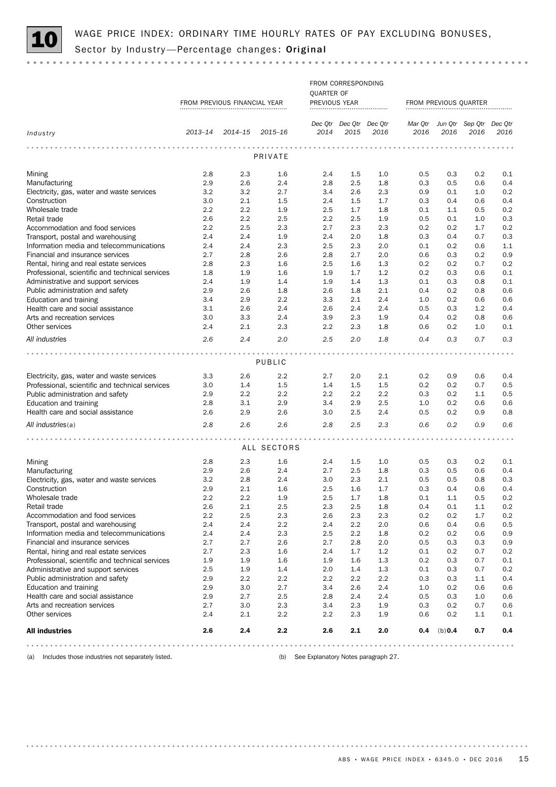

# WAGE PRICE INDEX: ORDINARY TIME HOURLY RATES OF PAY EXCLUDING BONUSES, Sector by Industry —Percentage changes: Original

|                                                             |            |                              |             |                   | FROM CORRESPONDING      |            |                       |            |                                 |      |
|-------------------------------------------------------------|------------|------------------------------|-------------|-------------------|-------------------------|------------|-----------------------|------------|---------------------------------|------|
|                                                             |            |                              |             | <b>QUARTER OF</b> |                         |            |                       |            |                                 |      |
|                                                             |            | FROM PREVIOUS FINANCIAL YEAR |             | PREVIOUS YEAR     |                         |            | FROM PREVIOUS QUARTER |            |                                 |      |
|                                                             |            |                              |             |                   |                         |            |                       |            |                                 |      |
|                                                             |            |                              |             |                   | Dec Qtr Dec Qtr Dec Qtr |            |                       |            | Mar Qtr Jun Qtr Sep Qtr Dec Qtr |      |
| Industry                                                    | 2013-14    | 2014-15 2015-16              |             | 2014              | 2015                    | 2016       | 2016                  | 2016       | 2016                            | 2016 |
|                                                             |            |                              |             |                   |                         |            |                       |            |                                 |      |
|                                                             |            |                              | PRIVATE     |                   |                         |            |                       |            |                                 |      |
|                                                             |            |                              |             |                   |                         |            |                       |            |                                 |      |
| Mining                                                      | 2.8        | 2.3                          | 1.6         | 2.4               | 1.5                     | 1.0        | 0.5                   | 0.3        | 0.2                             | 0.1  |
| Manufacturing                                               | 2.9        | 2.6                          | 2.4         | 2.8               | 2.5                     | 1.8        | 0.3                   | 0.5        | 0.6                             | 0.4  |
| Electricity, gas, water and waste services                  | 3.2        | 3.2                          | 2.7         | 3.4               | 2.6                     | 2.3        | 0.9                   | 0.1        | 1.0                             | 0.2  |
| Construction                                                | 3.0        | 2.1                          | 1.5         | 2.4               | 1.5                     | 1.7        | 0.3                   | 0.4        | 0.6                             | 0.4  |
| Wholesale trade                                             | 2.2        | 2.2                          | 1.9         | 2.5               | 1.7                     | 1.8        | 0.1                   | 1.1        | 0.5                             | 0.2  |
| Retail trade                                                | 2.6        | 2.2                          | 2.5         | $2.2\,$           | 2.5                     | 1.9        | 0.5                   | 0.1        | 1.0                             | 0.3  |
| Accommodation and food services                             | 2.2        | 2.5                          | 2.3         | 2.7               | 2.3                     | 2.3        | 0.2                   | 0.2        | 1.7                             | 0.2  |
| Transport, postal and warehousing                           | 2.4        | 2.4                          | 1.9         | 2.4               | 2.0                     | 1.8        | 0.3                   | 0.4        | 0.7                             | 0.3  |
| Information media and telecommunications                    | 2.4        | 2.4                          | 2.3         | 2.5               | 2.3                     | 2.0        | 0.1                   | 0.2        | 0.6                             | 1.1  |
| Financial and insurance services                            | 2.7        | 2.8                          | 2.6         | 2.8               | 2.7                     | 2.0        | 0.6                   | 0.3        | 0.2                             | 0.9  |
| Rental, hiring and real estate services                     | 2.8        | 2.3                          | 1.6         | 2.5               | 1.6                     | 1.3        | 0.2                   | 0.2        | 0.7                             | 0.2  |
| Professional, scientific and technical services             | 1.8        | 1.9                          | 1.6         | 1.9               | 1.7                     | 1.2        | 0.2                   | 0.3        | 0.6                             | 0.1  |
| Administrative and support services                         | 2.4        | 1.9                          | 1.4         | 1.9               | 1.4                     | 1.3        | 0.1                   | 0.3        | 0.8                             | 0.1  |
| Public administration and safety                            | 2.9        | 2.6                          | 1.8         | 2.6               | 1.8                     | 2.1        | 0.4                   | 0.2        | 0.8                             | 0.6  |
| Education and training                                      | 3.4        | 2.9                          | 2.2         | 3.3               | 2.1                     | 2.4        | 1.0                   | 0.2        | 0.6                             | 0.6  |
| Health care and social assistance                           | 3.1        | 2.6                          | 2.4         | 2.6               | 2.4                     | 2.4        | 0.5                   | 0.3        | 1.2                             | 0.4  |
| Arts and recreation services                                | 3.0        | 3.3                          | 2.4         | 3.9               | 2.3                     | 1.9        | 0.4                   | 0.2        | 0.8                             | 0.6  |
| Other services                                              | 2.4        | 2.1                          | 2.3         | 2.2               | 2.3                     | 1.8        | 0.6                   | 0.2        | 1.0                             | 0.1  |
| All industries                                              | 2.6        | 2.4                          | 2.0         | 2.5               | 2.0                     | 1.8        | 0.4                   | 0.3        | 0.7                             | 0.3  |
|                                                             |            |                              |             |                   |                         |            |                       |            |                                 |      |
|                                                             |            |                              | PUBLIC      |                   |                         |            |                       |            |                                 |      |
|                                                             |            |                              |             |                   |                         |            |                       |            |                                 |      |
| Electricity, gas, water and waste services                  | 3.3        | 2.6                          | 2.2         | 2.7               | 2.0                     | 2.1        | 0.2                   | 0.9        | 0.6                             | 0.4  |
| Professional, scientific and technical services             | 3.0        | 1.4                          | 1.5         | 1.4               | 1.5                     | 1.5        | 0.2                   | 0.2        | 0.7                             | 0.5  |
| Public administration and safety                            | 2.9        | 2.2                          | 2.2<br>2.9  | $2.2\,$           | $2.2\,$                 | 2.2        | 0.3                   | 0.2        | 1.1                             | 0.5  |
| Education and training<br>Health care and social assistance | 2.8<br>2.6 | 3.1<br>2.9                   |             | 3.4               | 2.9<br>2.5              | 2.5<br>2.4 | 1.0                   | 0.2<br>0.2 | 0.6<br>0.9                      | 0.6  |
|                                                             |            |                              | 2.6         | 3.0               |                         |            | 0.5                   |            |                                 | 0.8  |
| All industries(a)                                           | 2.8        | 2.6                          | 2.6         | 2.8               | 2.5                     | 2.3        | 0.6                   | 0.2        | 0.9                             | 0.6  |
|                                                             |            |                              |             |                   |                         |            |                       |            |                                 |      |
|                                                             |            |                              | ALL SECTORS |                   |                         |            |                       |            |                                 |      |
| Mining                                                      | 2.8        | 2.3                          | 1.6         | 2.4               | $1.5\,$                 | 1.0        | 0.5                   | 0.3        | 0.2                             | 0.1  |
| Manufacturing                                               | 2.9        | 2.6                          | 2.4         | 2.7               | 2.5                     | 1.8        | 0.3                   | 0.5        | 0.6                             | 0.4  |
| Electricity, gas, water and waste services                  | 3.2        | 2.8                          | 2.4         | 3.0               | 2.3                     | 2.1        | 0.5                   | 0.5        | 0.8                             | 0.3  |
| Construction                                                | 2.9        | 2.1                          | 1.6         | 2.5               | 1.6                     | 1.7        | 0.3                   | 0.4        | 0.6                             | 0.4  |
| Wholesale trade                                             | 2.2        | 2.2                          | 1.9         | 2.5               | 1.7                     | 1.8        | 0.1                   | 1.1        | 0.5                             | 0.2  |
| Retail trade                                                | 2.6        | 2.1                          | 2.5         | 2.3               | 2.5                     | 1.8        | 0.4                   | 0.1        | 1.1                             | 0.2  |
| Accommodation and food services                             | 2.2        | 2.5                          | 2.3         | 2.6               | 2.3                     | 2.3        | 0.2                   | 0.2        | 1.7                             | 0.2  |
| Transport, postal and warehousing                           | 2.4        | 2.4                          | 2.2         | 2.4               | 2.2                     | 2.0        | 0.6                   | 0.4        | 0.6                             | 0.5  |
| Information media and telecommunications                    | 2.4        | 2.4                          | 2.3         | 2.5               | 2.2                     | 1.8        | 0.2                   | 0.2        | 0.6                             | 0.9  |
| Financial and insurance services                            | 2.7        | 2.7                          | 2.6         | 2.7               | 2.8                     | 2.0        | 0.5                   | 0.3        | 0.3                             | 0.9  |
| Rental, hiring and real estate services                     | 2.7        | 2.3                          | 1.6         | 2.4               | 1.7                     | 1.2        | 0.1                   | 0.2        | 0.7                             | 0.2  |
| Professional, scientific and technical services             | 1.9        | 1.9                          | 1.6         | 1.9               | 1.6                     | 1.3        | 0.2                   | 0.3        | 0.7                             | 0.1  |
| Administrative and support services                         | 2.5        | 1.9                          | 1.4         | 2.0               | 1.4                     | 1.3        | 0.1                   | 0.3        | 0.7                             | 0.2  |
| Public administration and safety                            | 2.9        | 2.2                          | 2.2         | 2.2               | 2.2                     | 2.2        | 0.3                   | 0.3        | 1.1                             | 0.4  |
| Education and training                                      | 2.9        | 3.0                          | 2.7         | 3.4               | 2.6                     | 2.4        | 1.0                   | 0.2        | 0.6                             | 0.6  |
| Health care and social assistance                           | 2.9        | 2.7                          | 2.5         | 2.8               | 2.4                     | 2.4        | 0.5                   | 0.3        | 1.0                             | 0.6  |
| Arts and recreation services                                | 2.7        | 3.0                          | 2.3         | 3.4               | 2.3                     | 1.9        | 0.3                   | 0.2        | 0.7                             | 0.6  |
| Other services                                              | 2.4        | 2.1                          | 2.2         | 2.2               | 2.3                     | 1.9        | 0.6                   | 0.2        | 1.1                             | 0.1  |
| <b>All industries</b>                                       | 2.6        | 2.4                          | 2.2         | 2.6               | 2.1                     | 2.0        | 0.4                   | (b) 0.4    | 0.7                             | 0.4  |
|                                                             |            |                              |             |                   |                         |            |                       |            |                                 |      |

(a) Includes those industries not separately listed. (b) See Explanatory Notes paragraph 27.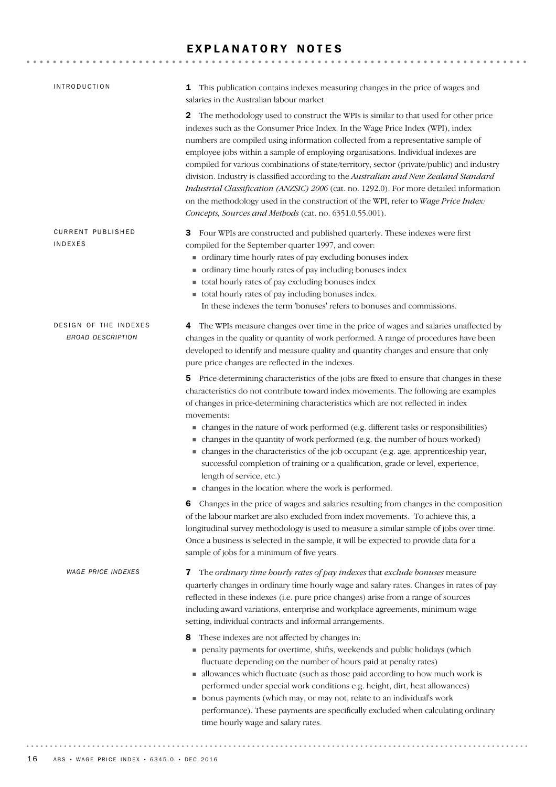# EXPLANATORY NOTES

| <b>INTRODUCTION</b>                               | 1 This publication contains indexes measuring changes in the price of wages and<br>salaries in the Australian labour market.                                                                                                                                                                                                                                                                                                                                                                                                                                                                                                                                                                                                                                                       |
|---------------------------------------------------|------------------------------------------------------------------------------------------------------------------------------------------------------------------------------------------------------------------------------------------------------------------------------------------------------------------------------------------------------------------------------------------------------------------------------------------------------------------------------------------------------------------------------------------------------------------------------------------------------------------------------------------------------------------------------------------------------------------------------------------------------------------------------------|
|                                                   | 2 The methodology used to construct the WPIs is similar to that used for other price<br>indexes such as the Consumer Price Index. In the Wage Price Index (WPI), index<br>numbers are compiled using information collected from a representative sample of<br>employee jobs within a sample of employing organisations. Individual indexes are<br>compiled for various combinations of state/territory, sector (private/public) and industry<br>division. Industry is classified according to the Australian and New Zealand Standard<br>Industrial Classification (ANZSIC) 2006 (cat. no. 1292.0). For more detailed information<br>on the methodology used in the construction of the WPI, refer to Wage Price Index:<br>Concepts, Sources and Methods (cat. no. 6351.0.55.001). |
| <b>CURRENT PUBLISHED</b><br><b>INDEXES</b>        | 3 Four WPIs are constructed and published quarterly. These indexes were first<br>compiled for the September quarter 1997, and cover:<br>• ordinary time hourly rates of pay excluding bonuses index<br>ordinary time hourly rates of pay including bonuses index<br>total hourly rates of pay excluding bonuses index<br>total hourly rates of pay including bonuses index.<br>In these indexes the term 'bonuses' refers to bonuses and commissions.                                                                                                                                                                                                                                                                                                                              |
| DESIGN OF THE INDEXES<br><b>BROAD DESCRIPTION</b> | The WPIs measure changes over time in the price of wages and salaries unaffected by<br>4<br>changes in the quality or quantity of work performed. A range of procedures have been<br>developed to identify and measure quality and quantity changes and ensure that only<br>pure price changes are reflected in the indexes.                                                                                                                                                                                                                                                                                                                                                                                                                                                       |
|                                                   | 5 Price-determining characteristics of the jobs are fixed to ensure that changes in these<br>characteristics do not contribute toward index movements. The following are examples<br>of changes in price-determining characteristics which are not reflected in index<br>movements:<br>• changes in the nature of work performed (e.g. different tasks or responsibilities)<br>• changes in the quantity of work performed (e.g. the number of hours worked)<br>• changes in the characteristics of the job occupant (e.g. age, apprenticeship year,<br>successful completion of training or a qualification, grade or level, experience,<br>length of service, etc.)<br>• changes in the location where the work is performed.                                                    |
|                                                   | Changes in the price of wages and salaries resulting from changes in the composition<br>6<br>of the labour market are also excluded from index movements. To achieve this, a<br>longitudinal survey methodology is used to measure a similar sample of jobs over time.<br>Once a business is selected in the sample, it will be expected to provide data for a<br>sample of jobs for a minimum of five years.                                                                                                                                                                                                                                                                                                                                                                      |
| <b>WAGE PRICE INDEXES</b>                         | The ordinary time hourly rates of pay indexes that exclude bonuses measure<br>7<br>quarterly changes in ordinary time hourly wage and salary rates. Changes in rates of pay<br>reflected in these indexes (i.e. pure price changes) arise from a range of sources<br>including award variations, enterprise and workplace agreements, minimum wage<br>setting, individual contracts and informal arrangements.                                                                                                                                                                                                                                                                                                                                                                     |
|                                                   | These indexes are not affected by changes in:<br>8<br>penalty payments for overtime, shifts, weekends and public holidays (which<br>fluctuate depending on the number of hours paid at penalty rates)<br>allowances which fluctuate (such as those paid according to how much work is<br>performed under special work conditions e.g. height, dirt, heat allowances)<br>• bonus payments (which may, or may not, relate to an individual's work<br>performance). These payments are specifically excluded when calculating ordinary<br>time hourly wage and salary rates.                                                                                                                                                                                                          |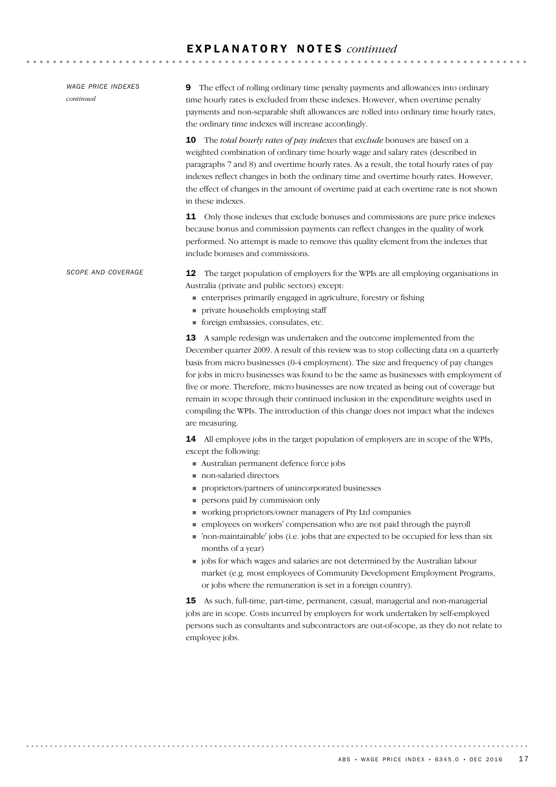12 The target population of employers for the WPIs are all employing organisations in Australia (private and public sectors) except: enterprises primarily engaged in agriculture, forestry or fishing private households employing staff foreign embassies, consulates, etc. 13 A sample redesign was undertaken and the outcome implemented from the December quarter 2009. A result of this review was to stop collecting data on a quarterly basis from micro businesses (0-4 employment). The size and frequency of pay changes for jobs in micro businesses was found to be the same as businesses with employment of five or more. Therefore, micro businesses are now treated as being out of coverage but remain in scope through their continued inclusion in the expenditure weights used in compiling the WPIs. The introduction of this change does not impact what the indexes are measuring. 14 All employee jobs in the target population of employers are in scope of the WPIs, except the following: Australian permanent defence force jobs non-salaried directors proprietors/partners of unincorporated businesses **persons paid by commission only**  working proprietors/owner managers of Pty Ltd companies employees on workers' compensation who are not paid through the payroll 'non-maintainable' jobs (i.e. jobs that are expected to be occupied for less than six months of a year)  $\blacksquare$  jobs for which wages and salaries are not determined by the Australian labour market (e.g. most employees of Community Development Employment Programs, or jobs where the remuneration is set in a foreign country). 15 As such, full-time, part-time, permanent, casual, managerial and non-managerial jobs are in scope. Costs incurred by employers for work undertaken by self-employed persons such as consultants and subcontractors are out-of-scope, as they do not relate to employee jobs. *SCOPE AND COVERAGE* 9 The effect of rolling ordinary time penalty payments and allowances into ordinary time hourly rates is excluded from these indexes. However, when overtime penalty payments and non-separable shift allowances are rolled into ordinary time hourly rates, the ordinary time indexes will increase accordingly. 10 The *total hourly rates of pay indexes* that *exclude* bonuses are based on a weighted combination of ordinary time hourly wage and salary rates (described in paragraphs 7 and 8) and overtime hourly rates. As a result, the total hourly rates of pay indexes reflect changes in both the ordinary time and overtime hourly rates. However, the effect of changes in the amount of overtime paid at each overtime rate is not shown in these indexes. 11 Only those indexes that exclude bonuses and commissions are pure price indexes because bonus and commission payments can reflect changes in the quality of work performed. No attempt is made to remove this quality element from the indexes that include bonuses and commissions. *WAGE PRICE INDEXES continued*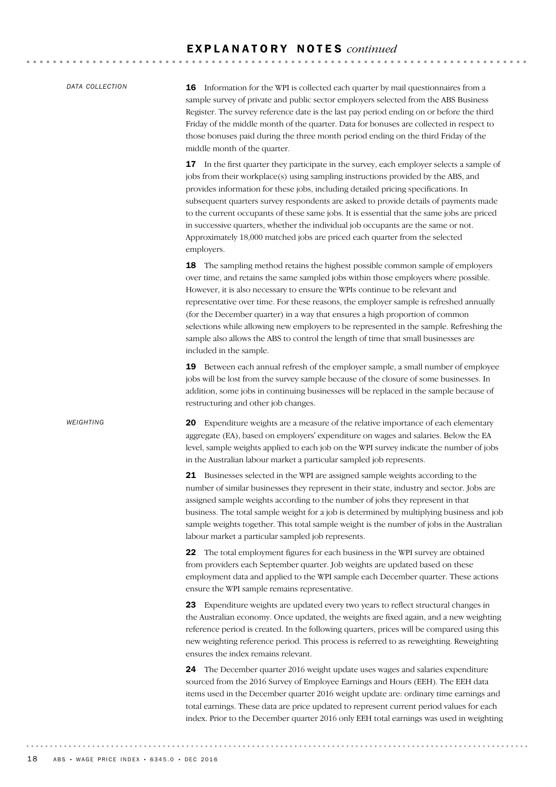*DATA COLLECTION*

*WEIGHTING*

16 Information for the WPI is collected each quarter by mail questionnaires from a sample survey of private and public sector employers selected from the ABS Business Register. The survey reference date is the last pay period ending on or before the third Friday of the middle month of the quarter. Data for bonuses are collected in respect to those bonuses paid during the three month period ending on the third Friday of the middle month of the quarter.

**17** In the first quarter they participate in the survey, each employer selects a sample of jobs from their workplace(s) using sampling instructions provided by the ABS, and provides information for these jobs, including detailed pricing specifications. In subsequent quarters survey respondents are asked to provide details of payments made to the current occupants of these same jobs. It is essential that the same jobs are priced in successive quarters, whether the individual job occupants are the same or not. Approximately 18,000 matched jobs are priced each quarter from the selected employers.

**18** The sampling method retains the highest possible common sample of employers over time, and retains the same sampled jobs within those employers where possible. However, it is also necessary to ensure the WPIs continue to be relevant and representative over time. For these reasons, the employer sample is refreshed annually (for the December quarter) in a way that ensures a high proportion of common selections while allowing new employers to be represented in the sample. Refreshing the sample also allows the ABS to control the length of time that small businesses are included in the sample.

19 Between each annual refresh of the employer sample, a small number of employee jobs will be lost from the survey sample because of the closure of some businesses. In addition, some jobs in continuing businesses will be replaced in the sample because of restructuring and other job changes.

20 Expenditure weights are a measure of the relative importance of each elementary aggregate (EA), based on employers' expenditure on wages and salaries. Below the EA level, sample weights applied to each job on the WPI survey indicate the number of jobs in the Australian labour market a particular sampled job represents.

21 Businesses selected in the WPI are assigned sample weights according to the number of similar businesses they represent in their state, industry and sector. Jobs are assigned sample weights according to the number of jobs they represent in that business. The total sample weight for a job is determined by multiplying business and job sample weights together. This total sample weight is the number of jobs in the Australian labour market a particular sampled job represents.

22 The total employment figures for each business in the WPI survey are obtained from providers each September quarter. Job weights are updated based on these employment data and applied to the WPI sample each December quarter. These actions ensure the WPI sample remains representative.

23 Expenditure weights are updated every two years to reflect structural changes in the Australian economy. Once updated, the weights are fixed again, and a new weighting reference period is created. In the following quarters, prices will be compared using this new weighting reference period. This process is referred to as reweighting. Reweighting ensures the index remains relevant.

24 The December quarter 2016 weight update uses wages and salaries expenditure sourced from the 2016 Survey of Employee Earnings and Hours (EEH). The EEH data items used in the December quarter 2016 weight update are: ordinary time earnings and total earnings. These data are price updated to represent current period values for each index. Prior to the December quarter 2016 only EEH total earnings was used in weighting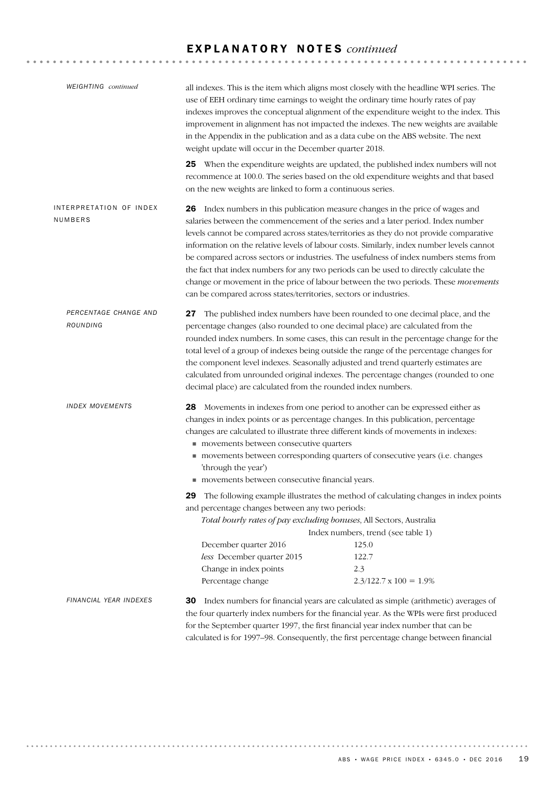| <b>WEIGHTING</b> continued         | weight update will occur in the December quarter 2018.                                                                                                                                                                                                                                                                             | all indexes. This is the item which aligns most closely with the headline WPI series. The<br>use of EEH ordinary time earnings to weight the ordinary time hourly rates of pay<br>indexes improves the conceptual alignment of the expenditure weight to the index. This<br>improvement in alignment has not impacted the indexes. The new weights are available<br>in the Appendix in the publication and as a data cube on the ABS website. The next                                                                                                                                                                           |  |  |  |
|------------------------------------|------------------------------------------------------------------------------------------------------------------------------------------------------------------------------------------------------------------------------------------------------------------------------------------------------------------------------------|----------------------------------------------------------------------------------------------------------------------------------------------------------------------------------------------------------------------------------------------------------------------------------------------------------------------------------------------------------------------------------------------------------------------------------------------------------------------------------------------------------------------------------------------------------------------------------------------------------------------------------|--|--|--|
|                                    | on the new weights are linked to form a continuous series.                                                                                                                                                                                                                                                                         | 25 When the expenditure weights are updated, the published index numbers will not<br>recommence at 100.0. The series based on the old expenditure weights and that based                                                                                                                                                                                                                                                                                                                                                                                                                                                         |  |  |  |
| INTERPRETATION OF INDEX<br>NUMBERS | can be compared across states/territories, sectors or industries.                                                                                                                                                                                                                                                                  | 26 Index numbers in this publication measure changes in the price of wages and<br>salaries between the commencement of the series and a later period. Index number<br>levels cannot be compared across states/territories as they do not provide comparative<br>information on the relative levels of labour costs. Similarly, index number levels cannot<br>be compared across sectors or industries. The usefulness of index numbers stems from<br>the fact that index numbers for any two periods can be used to directly calculate the<br>change or movement in the price of labour between the two periods. These movements |  |  |  |
| PERCENTAGE CHANGE AND<br>ROUNDING  | 27<br>decimal place) are calculated from the rounded index numbers.                                                                                                                                                                                                                                                                | The published index numbers have been rounded to one decimal place, and the<br>percentage changes (also rounded to one decimal place) are calculated from the<br>rounded index numbers. In some cases, this can result in the percentage change for the<br>total level of a group of indexes being outside the range of the percentage changes for<br>the component level indexes. Seasonally adjusted and trend quarterly estimates are<br>calculated from unrounded original indexes. The percentage changes (rounded to one                                                                                                   |  |  |  |
| <b>INDEX MOVEMENTS</b>             | movements between consecutive quarters<br>'through the year')<br>movements between consecutive financial years.                                                                                                                                                                                                                    | 28 Movements in indexes from one period to another can be expressed either as<br>changes in index points or as percentage changes. In this publication, percentage<br>changes are calculated to illustrate three different kinds of movements in indexes:<br>movements between corresponding quarters of consecutive years (i.e. changes                                                                                                                                                                                                                                                                                         |  |  |  |
|                                    | 29<br>The following example illustrates the method of calculating changes in index points<br>and percentage changes between any two periods:<br>Total hourly rates of pay excluding bonuses, All Sectors, Australia<br>Index numbers, trend (see table 1)<br>December quarter 2016<br>125.0<br>less December quarter 2015<br>122.7 |                                                                                                                                                                                                                                                                                                                                                                                                                                                                                                                                                                                                                                  |  |  |  |
|                                    | Change in index points<br>Percentage change                                                                                                                                                                                                                                                                                        | 2.3<br>$2.3/122.7 \times 100 = 1.9\%$                                                                                                                                                                                                                                                                                                                                                                                                                                                                                                                                                                                            |  |  |  |
| FINANCIAL YEAR INDEXES             | 30                                                                                                                                                                                                                                                                                                                                 | Index numbers for financial years are calculated as simple (arithmetic) averages of<br>the four quarterly index numbers for the financial year. As the WPIs were first produced<br>for the September quarter 1997, the first financial year index number that can be<br>calculated is for 1997-98. Consequently, the first percentage change between financial                                                                                                                                                                                                                                                                   |  |  |  |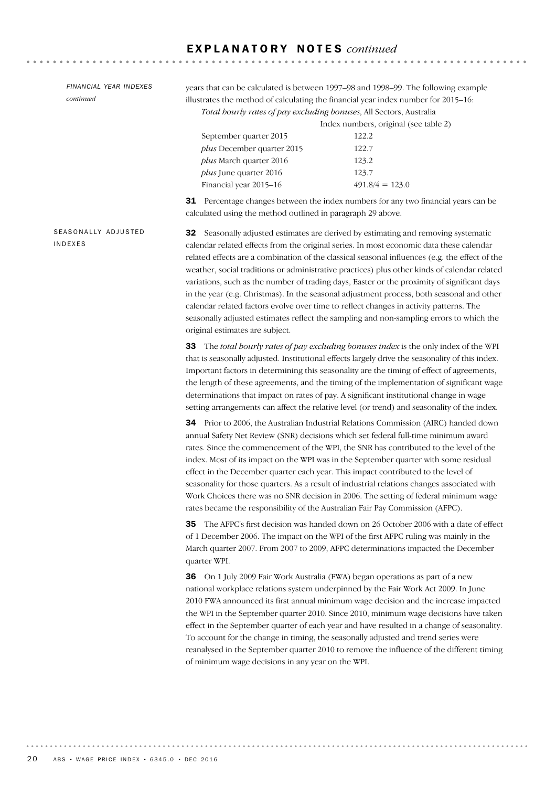*FINANCIAL YEAR INDEXES continued*

years that can be calculated is between 1997–98 and 1998–99. The following example illustrates the method of calculating the financial year index number for 2015–16: *Total hourly rates of pay excluding bonuses*, All Sectors, Australia

. . . . . . . . . . . . . . . . . . . .

Index numbers, original (see table 2) September quarter 2015 122.2 *plus* December quarter 2015 122.7 *plus* March quarter 2016 123.2 *plus* June quarter 2016 123.7 Financial year 2015–16 491.8/4 = 123.0

31 Percentage changes between the index numbers for any two financial years can be calculated using the method outlined in paragraph 29 above.

SEASONALLY ADJUSTED INDEXES

32 Seasonally adjusted estimates are derived by estimating and removing systematic calendar related effects from the original series. In most economic data these calendar related effects are a combination of the classical seasonal influences (e.g. the effect of the weather, social traditions or administrative practices) plus other kinds of calendar related variations, such as the number of trading days, Easter or the proximity of significant days in the year (e.g. Christmas). In the seasonal adjustment process, both seasonal and other calendar related factors evolve over time to reflect changes in activity patterns. The seasonally adjusted estimates reflect the sampling and non-sampling errors to which the original estimates are subject.

33 The *total hourly rates of pay excluding bonuses index* is the only index of the WPI that is seasonally adjusted. Institutional effects largely drive the seasonality of this index. Important factors in determining this seasonality are the timing of effect of agreements, the length of these agreements, and the timing of the implementation of significant wage determinations that impact on rates of pay. A significant institutional change in wage setting arrangements can affect the relative level (or trend) and seasonality of the index.

34 Prior to 2006, the Australian Industrial Relations Commission (AIRC) handed down annual Safety Net Review (SNR) decisions which set federal full-time minimum award rates. Since the commencement of the WPI, the SNR has contributed to the level of the index. Most of its impact on the WPI was in the September quarter with some residual effect in the December quarter each year. This impact contributed to the level of seasonality for those quarters. As a result of industrial relations changes associated with Work Choices there was no SNR decision in 2006. The setting of federal minimum wage rates became the responsibility of the Australian Fair Pay Commission (AFPC).

35 The AFPC's first decision was handed down on 26 October 2006 with a date of effect of 1 December 2006. The impact on the WPI of the first AFPC ruling was mainly in the March quarter 2007. From 2007 to 2009, AFPC determinations impacted the December quarter WPI.

36 On 1 July 2009 Fair Work Australia (FWA) began operations as part of a new national workplace relations system underpinned by the Fair Work Act 2009. In June 2010 FWA announced its first annual minimum wage decision and the increase impacted the WPI in the September quarter 2010. Since 2010, minimum wage decisions have taken effect in the September quarter of each year and have resulted in a change of seasonality. To account for the change in timing, the seasonally adjusted and trend series were reanalysed in the September quarter 2010 to remove the influence of the different timing of minimum wage decisions in any year on the WPI.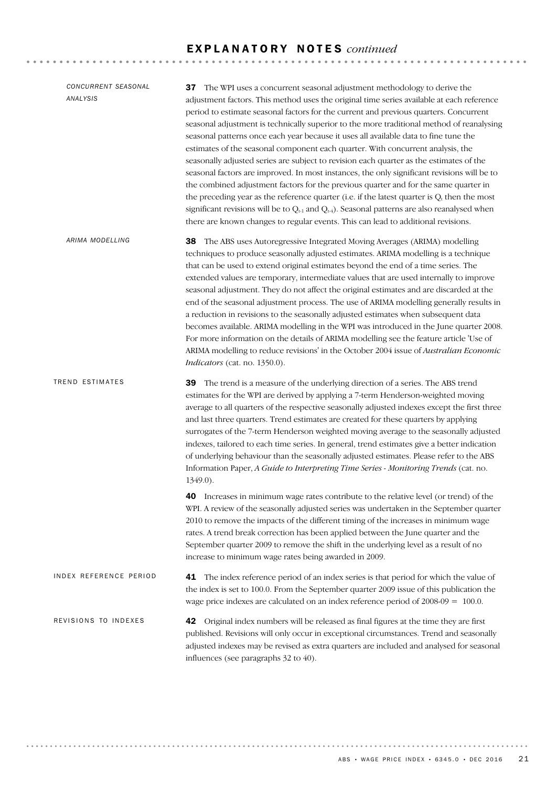**\*\*\*\*\*\*\*\*\*\*\*\*\*\*\*\*\*\*\***\*

# 42 Original index numbers will be released as final figures at the time they are first published. Revisions will only occur in exceptional circumstances. Trend and seasonally adjusted indexes may be revised as extra quarters are included and analysed for seasonal influences (see paragraphs 32 to 40). REVISIONS TO INDEXES 41 The index reference period of an index series is that period for which the value of the index is set to 100.0. From the September quarter 2009 issue of this publication the wage price indexes are calculated on an index reference period of 2008-09 = 100.0. IN DEX REFERENCE PERIOD 39 The trend is a measure of the underlying direction of a series. The ABS trend estimates for the WPI are derived by applying a 7-term Henderson-weighted moving average to all quarters of the respective seasonally adjusted indexes except the first three and last three quarters. Trend estimates are created for these quarters by applying surrogates of the 7-term Henderson weighted moving average to the seasonally adjusted indexes, tailored to each time series. In general, trend estimates give a better indication of underlying behaviour than the seasonally adjusted estimates. Please refer to the ABS Information Paper, *A Guide to Interpreting Time Series - Monitoring Trends* (cat. no. 1349.0). 40 Increases in minimum wage rates contribute to the relative level (or trend) of the WPI. A review of the seasonally adjusted series was undertaken in the September quarter 2010 to remove the impacts of the different timing of the increases in minimum wage rates. A trend break correction has been applied between the June quarter and the September quarter 2009 to remove the shift in the underlying level as a result of no increase to minimum wage rates being awarded in 2009. TREND ESTIMATES 38 The ABS uses Autoregressive Integrated Moving Averages (ARIMA) modelling techniques to produce seasonally adjusted estimates. ARIMA modelling is a technique that can be used to extend original estimates beyond the end of a time series. The extended values are temporary, intermediate values that are used internally to improve seasonal adjustment. They do not affect the original estimates and are discarded at the end of the seasonal adjustment process. The use of ARIMA modelling generally results in a reduction in revisions to the seasonally adjusted estimates when subsequent data becomes available. ARIMA modelling in the WPI was introduced in the June quarter 2008. For more information on the details of ARIMA modelling see the feature article 'Use of ARIMA modelling to reduce revisions' in the October 2004 issue of *Australian Economic Indicators* (cat. no. 1350.0). *ARIMA MODELLING* 37 The WPI uses a concurrent seasonal adjustment methodology to derive the adjustment factors. This method uses the original time series available at each reference period to estimate seasonal factors for the current and previous quarters. Concurrent seasonal adjustment is technically superior to the more traditional method of reanalysing seasonal patterns once each year because it uses all available data to fine tune the estimates of the seasonal component each quarter. With concurrent analysis, the seasonally adjusted series are subject to revision each quarter as the estimates of the seasonal factors are improved. In most instances, the only significant revisions will be to the combined adjustment factors for the previous quarter and for the same quarter in the preceding year as the reference quarter (i.e. if the latest quarter is  $Q_t$  then the most significant revisions will be to  $Q_{t-1}$  and  $Q_{t-4}$ ). Seasonal patterns are also reanalysed when there are known changes to regular events. This can lead to additional revisions. *CONCURRENT SEASONAL ANALYSIS*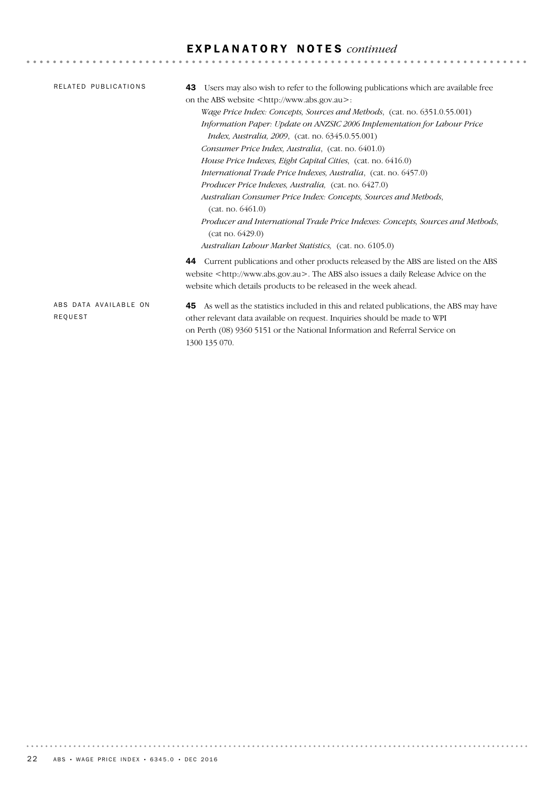| RELATED PUBLICATIONS             | Users may also wish to refer to the following publications which are available free<br>43<br>on the ABS website <http: www.abs.gov.au="">:<br/><i>Wage Price Index: Concepts, Sources and Methods, (cat. no. 6351.0.55.001)</i><br/>Information Paper: Update on ANZSIC 2006 Implementation for Labour Price<br/><i>Index, Australia, 2009,</i> (cat. no. 6345.0.55.001)<br/>Consumer Price Index, Australia, (cat. no. 6401.0)<br/>House Price Indexes, Eight Capital Cities, (cat. no. 6416.0)</http:> |
|----------------------------------|----------------------------------------------------------------------------------------------------------------------------------------------------------------------------------------------------------------------------------------------------------------------------------------------------------------------------------------------------------------------------------------------------------------------------------------------------------------------------------------------------------|
|                                  | International Trade Price Indexes, Australia, (cat. no. 6457.0)<br>Producer Price Indexes, Australia, (cat. no. 6427.0)<br>Australian Consumer Price Index: Concepts, Sources and Methods,<br>(cat. no. 6461.0)<br>Producer and International Trade Price Indexes: Concepts, Sources and Methods,<br>(cat no. 6429.0)<br>Australian Labour Market Statistics, (cat. no. 6105.0)                                                                                                                          |
|                                  | <b>44</b> Current publications and other products released by the ABS are listed on the ABS<br>website <http: www.abs.gov.au="">. The ABS also issues a daily Release Advice on the<br/>website which details products to be released in the week ahead.</http:>                                                                                                                                                                                                                                         |
| ABS DATA AVAILABLE ON<br>REQUEST | As well as the statistics included in this and related publications, the ABS may have<br>45.<br>other relevant data available on request. Inquiries should be made to WPI<br>on Perth (08) 9360 5151 or the National Information and Referral Service on<br>1300 135 070.                                                                                                                                                                                                                                |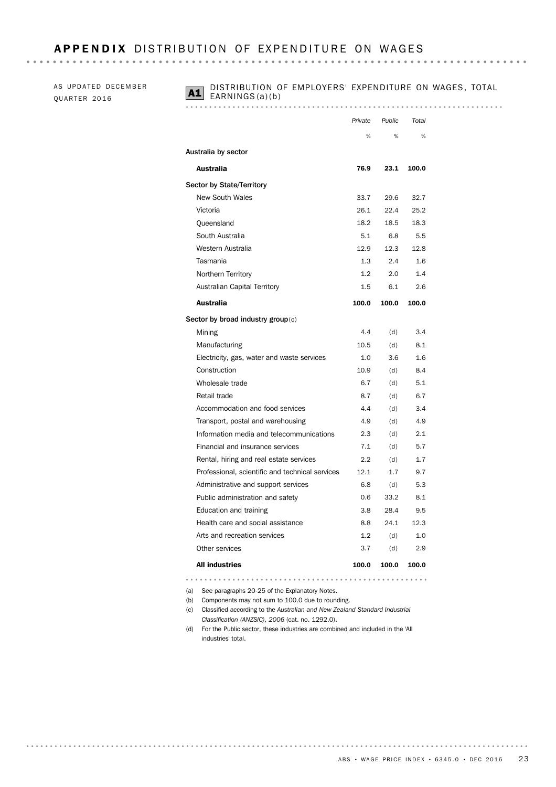# APPENDIX DISTRIBUTION OF EXPENDITURE ON WAGES

AS UPDATED DECEMBER QUARTER 2016

# **A1** DISTRIBUTION OF EMPLOYERS' EXPENDITURE ON WAGES, TOTAL EARNINGS(a)(b)

### 

|                                                 | Private | Public | Total |
|-------------------------------------------------|---------|--------|-------|
|                                                 | %       | %      | %     |
| Australia by sector                             |         |        |       |
| <b>Australia</b>                                | 76.9    | 23.1   | 100.0 |
| <b>Sector by State/Territory</b>                |         |        |       |
| <b>New South Wales</b>                          | 33.7    | 29.6   | 32.7  |
| Victoria                                        | 26.1    | 22.4   | 25.2  |
| Queensland                                      | 18.2    | 18.5   | 18.3  |
| South Australia                                 | 5.1     | 6.8    | 5.5   |
| Western Australia                               | 12.9    | 12.3   | 12.8  |
| Tasmania                                        | 1.3     | 2.4    | 1.6   |
| Northern Territory                              | 1.2     | 2.0    | 1.4   |
| <b>Australian Capital Territory</b>             | 1.5     | 6.1    | 2.6   |
| <b>Australia</b>                                | 100.0   | 100.0  | 100.0 |
| Sector by broad industry group $(c)$            |         |        |       |
| Mining                                          | 4.4     | (d)    | 3.4   |
| Manufacturing                                   | 10.5    | (d)    | 8.1   |
| Electricity, gas, water and waste services      | 1.0     | 3.6    | 1.6   |
| Construction                                    | 10.9    | (d)    | 8.4   |
| Wholesale trade                                 | 6.7     | (d)    | 5.1   |
| Retail trade                                    | 8.7     | (d)    | 6.7   |
| Accommodation and food services                 | 4.4     | (d)    | 3.4   |
| Transport, postal and warehousing               | 4.9     | (d)    | 4.9   |
| Information media and telecommunications        | 2.3     | (d)    | 2.1   |
| Financial and insurance services                | 7.1     | (d)    | 5.7   |
| Rental, hiring and real estate services         | 2.2     | (d)    | 1.7   |
| Professional, scientific and technical services | 12.1    | 1.7    | 9.7   |
| Administrative and support services             | 6.8     | (d)    | 5.3   |
| Public administration and safety                | 0.6     | 33.2   | 8.1   |
| Education and training                          | 3.8     | 28.4   | 9.5   |
| Health care and social assistance               | 8.8     | 24.1   | 12.3  |
| Arts and recreation services                    | 1.2     | (d)    | 1.0   |
| Other services                                  | 3.7     | (d)    | 2.9   |
| <b>All industries</b>                           | 100.0   | 100.0  | 100.0 |

(a) See paragraphs 20-25 of the Explanatory Notes.

(b) Components may not sum to 100.0 due to rounding.

- (c) Classified according to the *Australian and New Zealand Standard Industrial Classification (ANZSIC), 2006* (cat. no. 1292.0).
- (d) For the Public sector, these industries are combined and included in the 'All industries' total.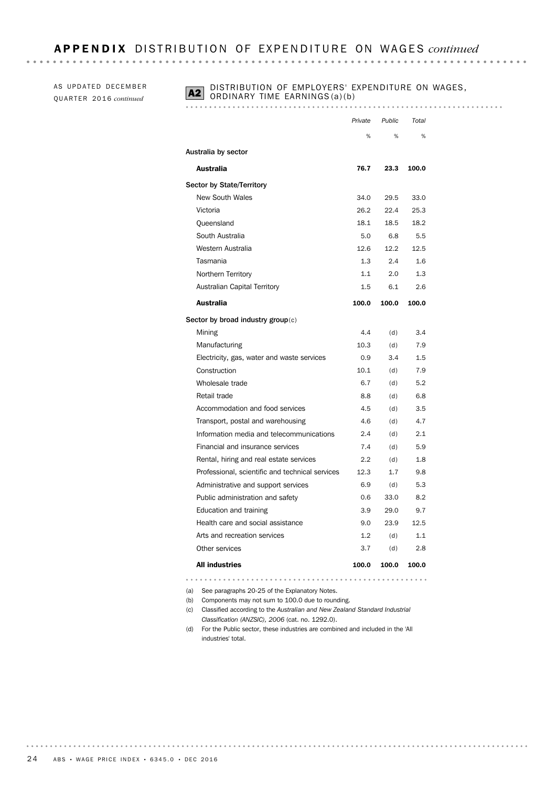AS UPDATED DECEMBER QU A R T E R 20 1 6 *continued*

# **A2** DISTRIBUTION OF EMPLOYERS' EXPENDITURE ON WAGES, ORDINARY TIME EARNINGS (a)(b)

|                                                 | Private | Public | Total |
|-------------------------------------------------|---------|--------|-------|
|                                                 | %       | %      | %     |
| Australia by sector                             |         |        |       |
| Australia                                       | 76.7    | 23.3   | 100.0 |
| Sector by State/Territory                       |         |        |       |
| <b>New South Wales</b>                          | 34.0    | 29.5   | 33.0  |
| Victoria                                        | 26.2    | 22.4   | 25.3  |
| Queensland                                      | 18.1    | 18.5   | 18.2  |
| South Australia                                 | 5.0     | 6.8    | 5.5   |
| Western Australia                               | 12.6    | 12.2   | 12.5  |
| Tasmania                                        | 1.3     | 2.4    | 1.6   |
| Northern Territory                              | 1.1     | 2.0    | 1.3   |
| Australian Capital Territory                    | 1.5     | 6.1    | 2.6   |
| Australia                                       | 100.0   | 100.0  | 100.0 |
| Sector by broad industry group(c)               |         |        |       |
| Mining                                          | 4.4     | (d)    | 3.4   |
| Manufacturing                                   | 10.3    | (d)    | 7.9   |
| Electricity, gas, water and waste services      | 0.9     | 3.4    | 1.5   |
| Construction                                    | 10.1    | (d)    | 7.9   |
| Wholesale trade                                 | 6.7     | (d)    | 5.2   |
| Retail trade                                    | 8.8     | (d)    | 6.8   |
| Accommodation and food services                 | 4.5     | (d)    | 3.5   |
| Transport, postal and warehousing               | 4.6     | (d)    | 4.7   |
| Information media and telecommunications        | 2.4     | (d)    | 2.1   |
| Financial and insurance services                | 7.4     | (d)    | 5.9   |
| Rental, hiring and real estate services         | 2.2     | (d)    | 1.8   |
| Professional, scientific and technical services | 12.3    | 1.7    | 9.8   |
| Administrative and support services             | 6.9     | (d)    | 5.3   |
| Public administration and safety                | 0.6     | 33.0   | 8.2   |
| Education and training                          | 3.9     | 29.0   | 9.7   |
| Health care and social assistance               | 9.0     | 23.9   | 12.5  |
| Arts and recreation services                    | 1.2     | (d)    | 1.1   |
| Other services                                  | 3.7     | (d)    | 2.8   |
| <b>All industries</b>                           | 100.0   | 100.0  | 100.0 |

(a) See paragraphs 20-25 of the Explanatory Notes.

(b) Components may not sum to 100.0 due to rounding.

- (c) Classified according to the *Australian and New Zealand Standard Industrial Classification (ANZSIC), 2006* (cat. no. 1292.0).
- (d) For the Public sector, these industries are combined and included in the 'All industries' total.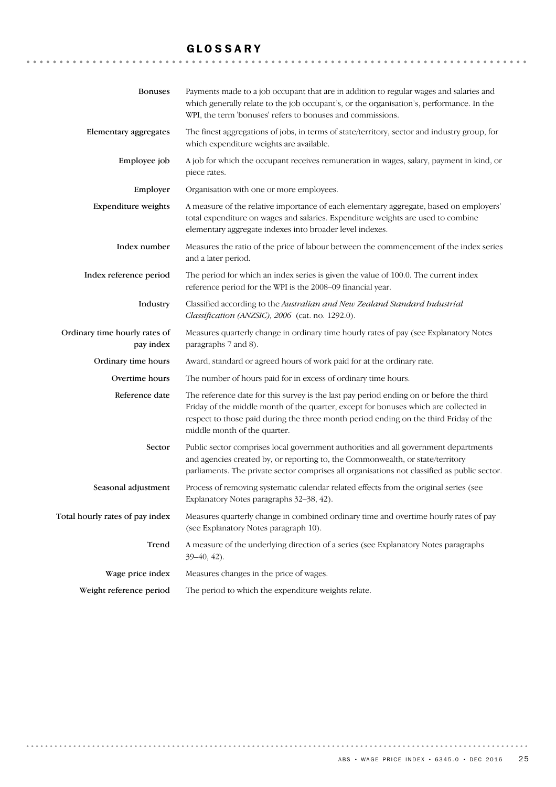# GLOSSARY

| <b>Bonuses</b>                             | Payments made to a job occupant that are in addition to regular wages and salaries and<br>which generally relate to the job occupant's, or the organisation's, performance. In the<br>WPI, the term 'bonuses' refers to bonuses and commissions.                                                         |
|--------------------------------------------|----------------------------------------------------------------------------------------------------------------------------------------------------------------------------------------------------------------------------------------------------------------------------------------------------------|
| <b>Elementary aggregates</b>               | The finest aggregations of jobs, in terms of state/territory, sector and industry group, for<br>which expenditure weights are available.                                                                                                                                                                 |
| Employee job                               | A job for which the occupant receives remuneration in wages, salary, payment in kind, or<br>piece rates.                                                                                                                                                                                                 |
| Employer                                   | Organisation with one or more employees.                                                                                                                                                                                                                                                                 |
| Expenditure weights                        | A measure of the relative importance of each elementary aggregate, based on employers'<br>total expenditure on wages and salaries. Expenditure weights are used to combine<br>elementary aggregate indexes into broader level indexes.                                                                   |
| Index number                               | Measures the ratio of the price of labour between the commencement of the index series<br>and a later period.                                                                                                                                                                                            |
| Index reference period                     | The period for which an index series is given the value of 100.0. The current index<br>reference period for the WPI is the 2008-09 financial year.                                                                                                                                                       |
| Industry                                   | Classified according to the Australian and New Zealand Standard Industrial<br>Classification (ANZSIC), 2006 (cat. no. 1292.0).                                                                                                                                                                           |
| Ordinary time hourly rates of<br>pay index | Measures quarterly change in ordinary time hourly rates of pay (see Explanatory Notes<br>paragraphs 7 and 8).                                                                                                                                                                                            |
| Ordinary time hours                        | Award, standard or agreed hours of work paid for at the ordinary rate.                                                                                                                                                                                                                                   |
| Overtime hours                             | The number of hours paid for in excess of ordinary time hours.                                                                                                                                                                                                                                           |
| Reference date                             | The reference date for this survey is the last pay period ending on or before the third<br>Friday of the middle month of the quarter, except for bonuses which are collected in<br>respect to those paid during the three month period ending on the third Friday of the<br>middle month of the quarter. |
| Sector                                     | Public sector comprises local government authorities and all government departments<br>and agencies created by, or reporting to, the Commonwealth, or state/territory<br>parliaments. The private sector comprises all organisations not classified as public sector.                                    |
| Seasonal adjustment                        | Process of removing systematic calendar related effects from the original series (see<br>Explanatory Notes paragraphs 32-38, 42).                                                                                                                                                                        |
| Total hourly rates of pay index            | Measures quarterly change in combined ordinary time and overtime hourly rates of pay<br>(see Explanatory Notes paragraph 10).                                                                                                                                                                            |
| Trend                                      | A measure of the underlying direction of a series (see Explanatory Notes paragraphs<br>$39-40, 42$ ).                                                                                                                                                                                                    |
| Wage price index                           | Measures changes in the price of wages.                                                                                                                                                                                                                                                                  |
| Weight reference period                    | The period to which the expenditure weights relate.                                                                                                                                                                                                                                                      |